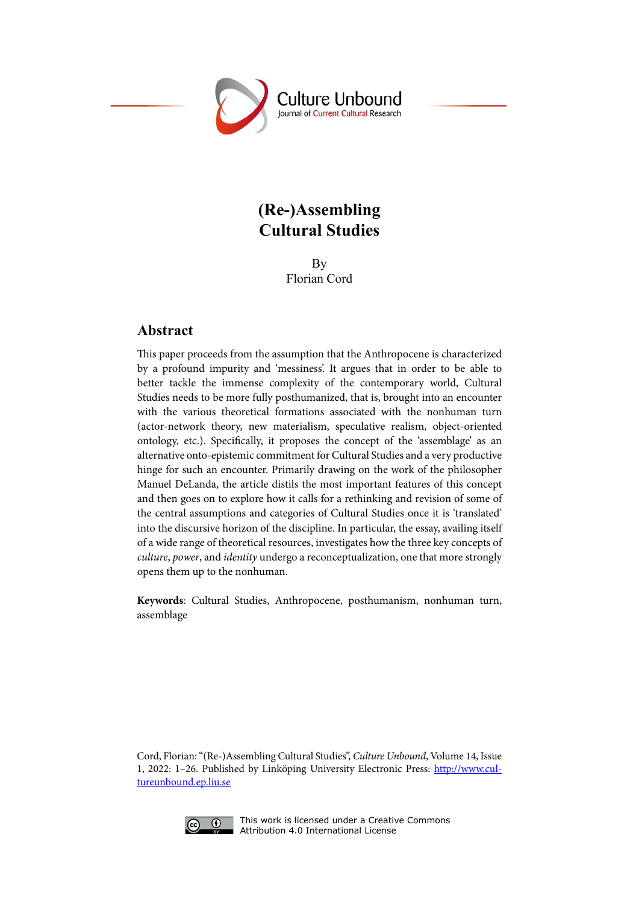

# **(Re-)Assembling Cultural Studies**

By Florian Cord

## **Abstract**

This paper proceeds from the assumption that the Anthropocene is characterized by a profound impurity and 'messiness'. It argues that in order to be able to better tackle the immense complexity of the contemporary world, Cultural Studies needs to be more fully posthumanized, that is, brought into an encounter with the various theoretical formations associated with the nonhuman turn (actor-network theory, new materialism, speculative realism, object-oriented ontology, etc.). Specifically, it proposes the concept of the 'assemblage' as an alternative onto-epistemic commitment for Cultural Studies and a very productive hinge for such an encounter. Primarily drawing on the work of the philosopher Manuel DeLanda, the article distils the most important features of this concept and then goes on to explore how it calls for a rethinking and revision of some of the central assumptions and categories of Cultural Studies once it is 'translated' into the discursive horizon of the discipline. In particular, the essay, availing itself of a wide range of theoretical resources, investigates how the three key concepts of *culture*, *power*, and *identity* undergo a reconceptualization, one that more strongly opens them up to the nonhuman.

**Keywords**: Cultural Studies, Anthropocene, posthumanism, nonhuman turn, assemblage

Cord, Florian: "(Re-)Assembling Cultural Studies", *Culture Unbound*, Volume 14, Issue 1, 2022: 1–26. Published by Linköping University Electronic Press: [http://www.cul](http://www.cultureunbound.ep.liu.se )[tureunbound.ep.liu.se](http://www.cultureunbound.ep.liu.se )



This work is licensed under a Creative Commons Attribution 4.0 International License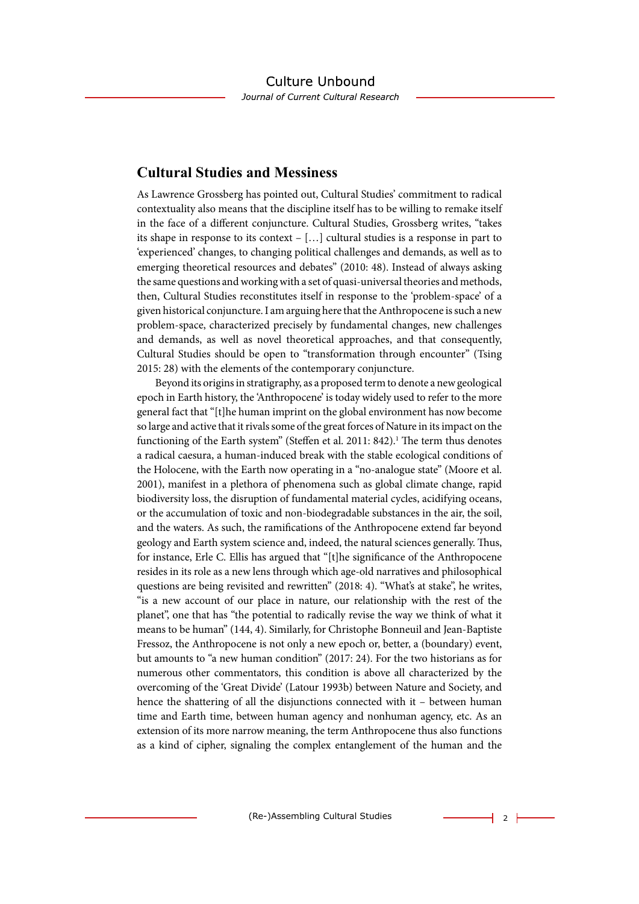# **Cultural Studies and Messiness**

As Lawrence Grossberg has pointed out, Cultural Studies' commitment to radical contextuality also means that the discipline itself has to be willing to remake itself in the face of a different conjuncture. Cultural Studies, Grossberg writes, "takes its shape in response to its context – […] cultural studies is a response in part to 'experienced' changes, to changing political challenges and demands, as well as to emerging theoretical resources and debates" (2010: 48). Instead of always asking the same questions and working with a set of quasi-universal theories and methods, then, Cultural Studies reconstitutes itself in response to the 'problem-space' of a given historical conjuncture. I am arguing here that the Anthropocene is such a new problem-space, characterized precisely by fundamental changes, new challenges and demands, as well as novel theoretical approaches, and that consequently, Cultural Studies should be open to "transformation through encounter" (Tsing 2015: 28) with the elements of the contemporary conjuncture.

Beyond its origins in stratigraphy, as a proposed term to denote a new geological epoch in Earth history, the 'Anthropocene' is today widely used to refer to the more general fact that "[t]he human imprint on the global environment has now become so large and active that it rivals some of the great forces of Nature in its impact on the functioning of the Earth system" (Steffen et al. 2011: 842).<sup>1</sup> The term thus denotes a radical caesura, a human-induced break with the stable ecological conditions of the Holocene, with the Earth now operating in a "no-analogue state" (Moore et al. 2001), manifest in a plethora of phenomena such as global climate change, rapid biodiversity loss, the disruption of fundamental material cycles, acidifying oceans, or the accumulation of toxic and non-biodegradable substances in the air, the soil, and the waters. As such, the ramifications of the Anthropocene extend far beyond geology and Earth system science and, indeed, the natural sciences generally. Thus, for instance, Erle C. Ellis has argued that "[t]he significance of the Anthropocene resides in its role as a new lens through which age-old narratives and philosophical questions are being revisited and rewritten" (2018: 4). "What's at stake", he writes, "is a new account of our place in nature, our relationship with the rest of the planet", one that has "the potential to radically revise the way we think of what it means to be human" (144, 4). Similarly, for Christophe Bonneuil and Jean-Baptiste Fressoz, the Anthropocene is not only a new epoch or, better, a (boundary) event, but amounts to "a new human condition" (2017: 24). For the two historians as for numerous other commentators, this condition is above all characterized by the overcoming of the 'Great Divide' (Latour 1993b) between Nature and Society, and hence the shattering of all the disjunctions connected with it – between human time and Earth time, between human agency and nonhuman agency, etc. As an extension of its more narrow meaning, the term Anthropocene thus also functions as a kind of cipher, signaling the complex entanglement of the human and the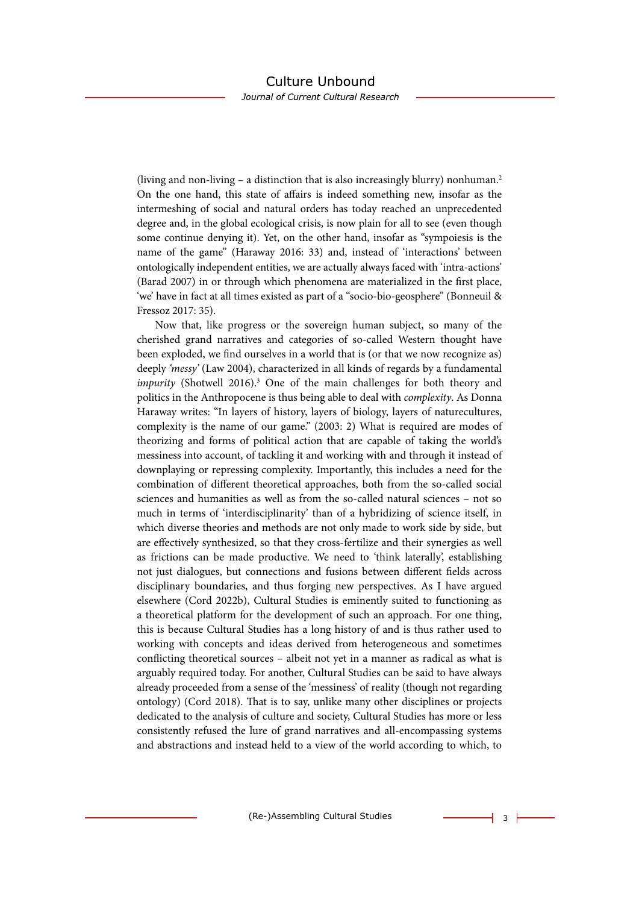(living and non-living – a distinction that is also increasingly blurry) nonhuman.2 On the one hand, this state of affairs is indeed something new, insofar as the intermeshing of social and natural orders has today reached an unprecedented degree and, in the global ecological crisis, is now plain for all to see (even though some continue denying it). Yet, on the other hand, insofar as "sympoiesis is the name of the game" (Haraway 2016: 33) and, instead of 'interactions' between ontologically independent entities, we are actually always faced with 'intra-actions' (Barad 2007) in or through which phenomena are materialized in the first place, 'we' have in fact at all times existed as part of a "socio-bio-geosphere" (Bonneuil & Fressoz 2017: 35).

Now that, like progress or the sovereign human subject, so many of the cherished grand narratives and categories of so-called Western thought have been exploded, we find ourselves in a world that is (or that we now recognize as) deeply *'messy'* (Law 2004), characterized in all kinds of regards by a fundamental *impurity* (Shotwell 2016).<sup>3</sup> One of the main challenges for both theory and politics in the Anthropocene is thus being able to deal with *complexity*. As Donna Haraway writes: "In layers of history, layers of biology, layers of naturecultures, complexity is the name of our game." (2003: 2) What is required are modes of theorizing and forms of political action that are capable of taking the world's messiness into account, of tackling it and working with and through it instead of downplaying or repressing complexity. Importantly, this includes a need for the combination of different theoretical approaches, both from the so-called social sciences and humanities as well as from the so-called natural sciences – not so much in terms of 'interdisciplinarity' than of a hybridizing of science itself, in which diverse theories and methods are not only made to work side by side, but are effectively synthesized, so that they cross-fertilize and their synergies as well as frictions can be made productive. We need to 'think laterally', establishing not just dialogues, but connections and fusions between different fields across disciplinary boundaries, and thus forging new perspectives. As I have argued elsewhere (Cord 2022b), Cultural Studies is eminently suited to functioning as a theoretical platform for the development of such an approach. For one thing, this is because Cultural Studies has a long history of and is thus rather used to working with concepts and ideas derived from heterogeneous and sometimes conflicting theoretical sources – albeit not yet in a manner as radical as what is arguably required today. For another, Cultural Studies can be said to have always already proceeded from a sense of the 'messiness' of reality (though not regarding ontology) (Cord 2018). That is to say, unlike many other disciplines or projects dedicated to the analysis of culture and society, Cultural Studies has more or less consistently refused the lure of grand narratives and all-encompassing systems and abstractions and instead held to a view of the world according to which, to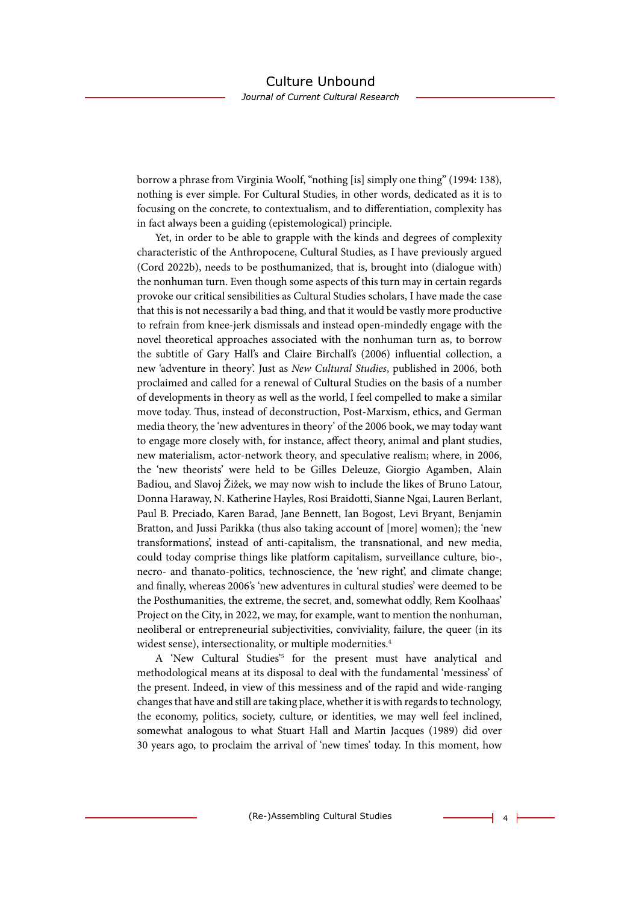borrow a phrase from Virginia Woolf, "nothing [is] simply one thing" (1994: 138), nothing is ever simple. For Cultural Studies, in other words, dedicated as it is to focusing on the concrete, to contextualism, and to differentiation, complexity has in fact always been a guiding (epistemological) principle.

Yet, in order to be able to grapple with the kinds and degrees of complexity characteristic of the Anthropocene, Cultural Studies, as I have previously argued (Cord 2022b), needs to be posthumanized, that is, brought into (dialogue with) the nonhuman turn. Even though some aspects of this turn may in certain regards provoke our critical sensibilities as Cultural Studies scholars, I have made the case that this is not necessarily a bad thing, and that it would be vastly more productive to refrain from knee-jerk dismissals and instead open-mindedly engage with the novel theoretical approaches associated with the nonhuman turn as, to borrow the subtitle of Gary Hall's and Claire Birchall's (2006) influential collection, a new 'adventure in theory'. Just as *New Cultural Studies*, published in 2006, both proclaimed and called for a renewal of Cultural Studies on the basis of a number of developments in theory as well as the world, I feel compelled to make a similar move today. Thus, instead of deconstruction, Post-Marxism, ethics, and German media theory, the 'new adventures in theory' of the 2006 book, we may today want to engage more closely with, for instance, affect theory, animal and plant studies, new materialism, actor-network theory, and speculative realism; where, in 2006, the 'new theorists' were held to be Gilles Deleuze, Giorgio Agamben, Alain Badiou, and Slavoj Žižek, we may now wish to include the likes of Bruno Latour, Donna Haraway, N. Katherine Hayles, Rosi Braidotti, Sianne Ngai, Lauren Berlant, Paul B. Preciado, Karen Barad, Jane Bennett, Ian Bogost, Levi Bryant, Benjamin Bratton, and Jussi Parikka (thus also taking account of [more] women); the 'new transformations', instead of anti-capitalism, the transnational, and new media, could today comprise things like platform capitalism, surveillance culture, bio-, necro- and thanato-politics, technoscience, the 'new right', and climate change; and finally, whereas 2006's 'new adventures in cultural studies' were deemed to be the Posthumanities, the extreme, the secret, and, somewhat oddly, Rem Koolhaas' Project on the City, in 2022, we may, for example, want to mention the nonhuman, neoliberal or entrepreneurial subjectivities, conviviality, failure, the queer (in its widest sense), intersectionality, or multiple modernities.<sup>4</sup>

A 'New Cultural Studies<sup>'5</sup> for the present must have analytical and methodological means at its disposal to deal with the fundamental 'messiness' of the present. Indeed, in view of this messiness and of the rapid and wide-ranging changes that have and still are taking place, whether it is with regards to technology, the economy, politics, society, culture, or identities, we may well feel inclined, somewhat analogous to what Stuart Hall and Martin Jacques (1989) did over 30 years ago, to proclaim the arrival of 'new times' today. In this moment, how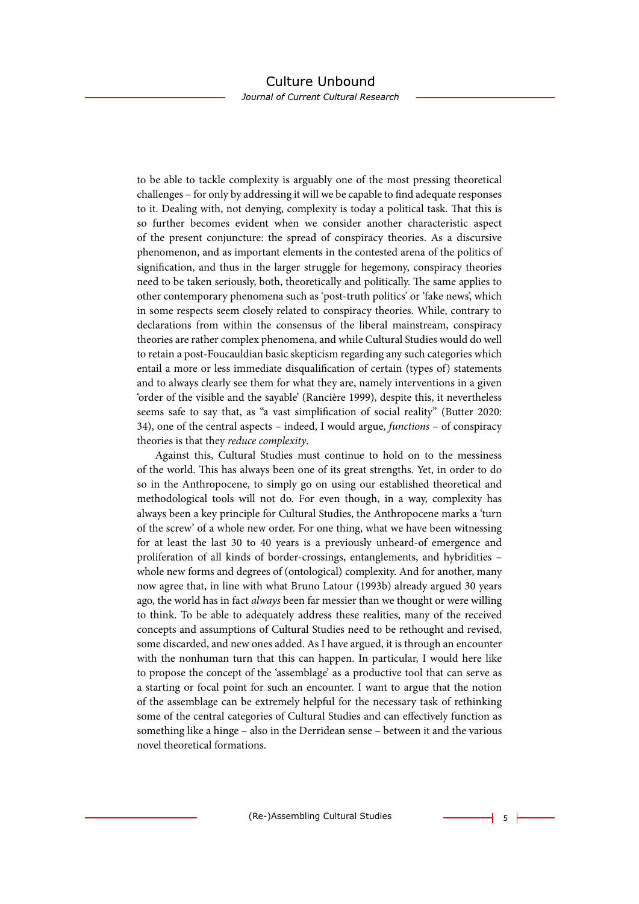Journal of Current Cultural Research

to be able to tackle complexity is arguably one of the most pressing theoretical challenges – for only by addressing it will we be capable to find adequate responses to it. Dealing with, not denying, complexity is today a political task. That this is so further becomes evident when we consider another characteristic aspect of the present conjuncture: the spread of conspiracy theories. As a discursive phenomenon, and as important elements in the contested arena of the politics of signification, and thus in the larger struggle for hegemony, conspiracy theories need to be taken seriously, both, theoretically and politically. The same applies to other contemporary phenomena such as 'post-truth politics' or 'fake news', which in some respects seem closely related to conspiracy theories. While, contrary to declarations from within the consensus of the liberal mainstream, conspiracy theories are rather complex phenomena, and while Cultural Studies would do well to retain a post-Foucauldian basic skepticism regarding any such categories which entail a more or less immediate disqualification of certain (types of) statements and to always clearly see them for what they are, namely interventions in a given 'order of the visible and the sayable' (Rancière 1999), despite this, it nevertheless seems safe to say that, as "a vast simplification of social reality" (Butter 2020: 34), one of the central aspects – indeed, I would argue, *functions* – of conspiracy theories is that they *reduce complexity*.

Against this, Cultural Studies must continue to hold on to the messiness of the world. This has always been one of its great strengths. Yet, in order to do so in the Anthropocene, to simply go on using our established theoretical and methodological tools will not do. For even though, in a way, complexity has always been a key principle for Cultural Studies, the Anthropocene marks a 'turn of the screw' of a whole new order. For one thing, what we have been witnessing for at least the last 30 to 40 years is a previously unheard-of emergence and proliferation of all kinds of border-crossings, entanglements, and hybridities – whole new forms and degrees of (ontological) complexity. And for another, many now agree that, in line with what Bruno Latour (1993b) already argued 30 years ago, the world has in fact *always* been far messier than we thought or were willing to think. To be able to adequately address these realities, many of the received concepts and assumptions of Cultural Studies need to be rethought and revised, some discarded, and new ones added. As I have argued, it is through an encounter with the nonhuman turn that this can happen. In particular, I would here like to propose the concept of the 'assemblage' as a productive tool that can serve as a starting or focal point for such an encounter. I want to argue that the notion of the assemblage can be extremely helpful for the necessary task of rethinking some of the central categories of Cultural Studies and can effectively function as something like a hinge – also in the Derridean sense – between it and the various novel theoretical formations.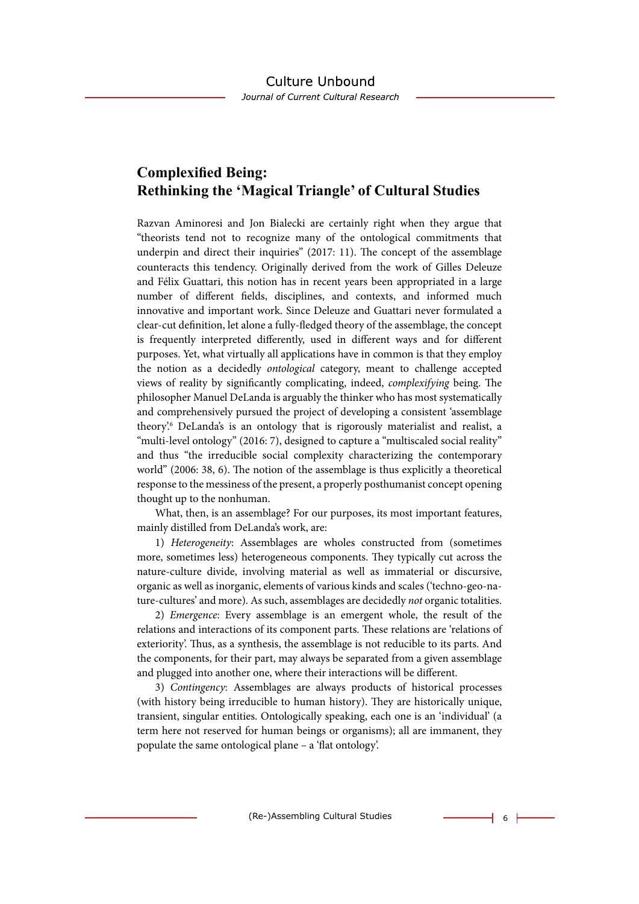# **Complexified Being: Rethinking the 'Magical Triangle' of Cultural Studies**

Razvan Aminoresi and Jon Bialecki are certainly right when they argue that "theorists tend not to recognize many of the ontological commitments that underpin and direct their inquiries" (2017: 11). The concept of the assemblage counteracts this tendency. Originally derived from the work of Gilles Deleuze and Félix Guattari, this notion has in recent years been appropriated in a large number of different fields, disciplines, and contexts, and informed much innovative and important work. Since Deleuze and Guattari never formulated a clear-cut definition, let alone a fully-fledged theory of the assemblage, the concept is frequently interpreted differently, used in different ways and for different purposes. Yet, what virtually all applications have in common is that they employ the notion as a decidedly *ontological* category, meant to challenge accepted views of reality by significantly complicating, indeed, *complexifying* being. The philosopher Manuel DeLanda is arguably the thinker who has most systematically and comprehensively pursued the project of developing a consistent 'assemblage theory'.6 DeLanda's is an ontology that is rigorously materialist and realist, a "multi-level ontology" (2016: 7), designed to capture a "multiscaled social reality" and thus "the irreducible social complexity characterizing the contemporary world" (2006: 38, 6). The notion of the assemblage is thus explicitly a theoretical response to the messiness of the present, a properly posthumanist concept opening thought up to the nonhuman.

What, then, is an assemblage? For our purposes, its most important features, mainly distilled from DeLanda's work, are:

1) *Heterogeneity*: Assemblages are wholes constructed from (sometimes more, sometimes less) heterogeneous components. They typically cut across the nature-culture divide, involving material as well as immaterial or discursive, organic as well as inorganic, elements of various kinds and scales ('techno-geo-nature-cultures' and more). As such, assemblages are decidedly *not* organic totalities.

2) *Emergence*: Every assemblage is an emergent whole, the result of the relations and interactions of its component parts. These relations are 'relations of exteriority'. Thus, as a synthesis, the assemblage is not reducible to its parts. And the components, for their part, may always be separated from a given assemblage and plugged into another one, where their interactions will be different.

3) *Contingency*: Assemblages are always products of historical processes (with history being irreducible to human history). They are historically unique, transient, singular entities. Ontologically speaking, each one is an 'individual' (a term here not reserved for human beings or organisms); all are immanent, they populate the same ontological plane – a 'flat ontology'.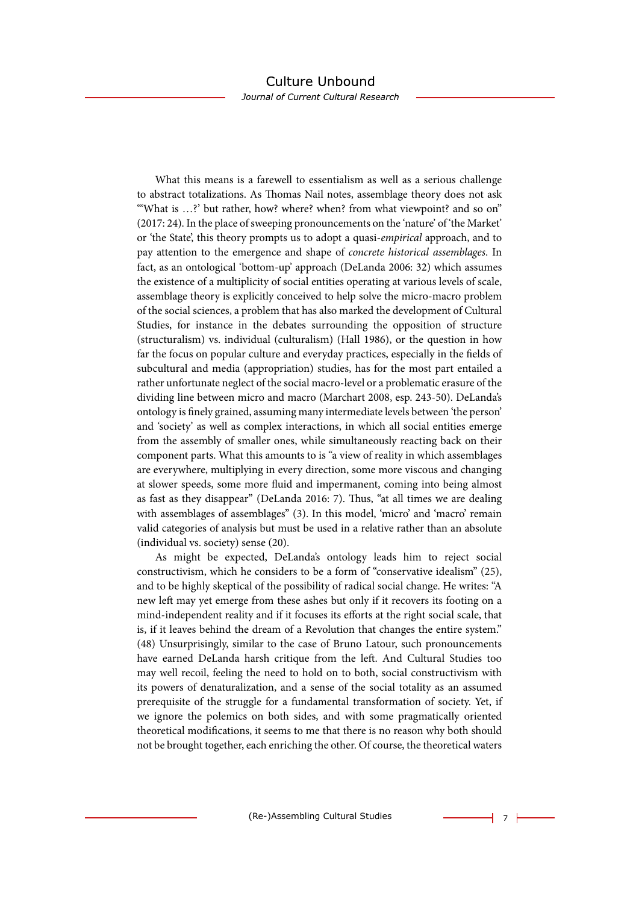#### Culture Unbound Journal of Current Cultural Research

What this means is a farewell to essentialism as well as a serious challenge to abstract totalizations. As Thomas Nail notes, assemblage theory does not ask "What is ...?' but rather, how? where? when? from what viewpoint? and so on" (2017: 24). In the place of sweeping pronouncements on the 'nature' of 'the Market' or 'the State', this theory prompts us to adopt a quasi-*empirical* approach, and to pay attention to the emergence and shape of *concrete historical assemblages*. In fact, as an ontological 'bottom-up' approach (DeLanda 2006: 32) which assumes the existence of a multiplicity of social entities operating at various levels of scale, assemblage theory is explicitly conceived to help solve the micro-macro problem of the social sciences, a problem that has also marked the development of Cultural Studies, for instance in the debates surrounding the opposition of structure (structuralism) vs. individual (culturalism) (Hall 1986), or the question in how far the focus on popular culture and everyday practices, especially in the fields of subcultural and media (appropriation) studies, has for the most part entailed a rather unfortunate neglect of the social macro-level or a problematic erasure of the dividing line between micro and macro (Marchart 2008, esp. 243-50). DeLanda's ontology is finely grained, assuming many intermediate levels between 'the person' and 'society' as well as complex interactions, in which all social entities emerge from the assembly of smaller ones, while simultaneously reacting back on their component parts. What this amounts to is "a view of reality in which assemblages are everywhere, multiplying in every direction, some more viscous and changing at slower speeds, some more fluid and impermanent, coming into being almost as fast as they disappear" (DeLanda 2016: 7). Thus, "at all times we are dealing with assemblages of assemblages" (3). In this model, 'micro' and 'macro' remain valid categories of analysis but must be used in a relative rather than an absolute (individual vs. society) sense (20).

As might be expected, DeLanda's ontology leads him to reject social constructivism, which he considers to be a form of "conservative idealism" (25), and to be highly skeptical of the possibility of radical social change. He writes: "A new left may yet emerge from these ashes but only if it recovers its footing on a mind-independent reality and if it focuses its efforts at the right social scale, that is, if it leaves behind the dream of a Revolution that changes the entire system." (48) Unsurprisingly, similar to the case of Bruno Latour, such pronouncements have earned DeLanda harsh critique from the left. And Cultural Studies too may well recoil, feeling the need to hold on to both, social constructivism with its powers of denaturalization, and a sense of the social totality as an assumed prerequisite of the struggle for a fundamental transformation of society. Yet, if we ignore the polemics on both sides, and with some pragmatically oriented theoretical modifications, it seems to me that there is no reason why both should not be brought together, each enriching the other. Of course, the theoretical waters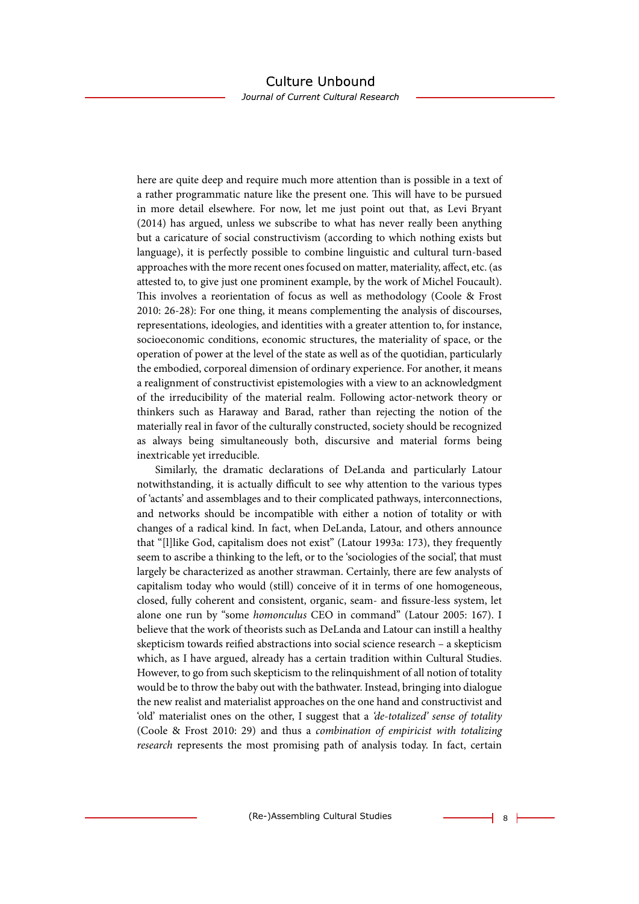Journal of Current Cultural Research

here are quite deep and require much more attention than is possible in a text of a rather programmatic nature like the present one. This will have to be pursued in more detail elsewhere. For now, let me just point out that, as Levi Bryant (2014) has argued, unless we subscribe to what has never really been anything but a caricature of social constructivism (according to which nothing exists but language), it is perfectly possible to combine linguistic and cultural turn-based approaches with the more recent ones focused on matter, materiality, affect, etc. (as attested to, to give just one prominent example, by the work of Michel Foucault). This involves a reorientation of focus as well as methodology (Coole & Frost 2010: 26-28): For one thing, it means complementing the analysis of discourses, representations, ideologies, and identities with a greater attention to, for instance, socioeconomic conditions, economic structures, the materiality of space, or the operation of power at the level of the state as well as of the quotidian, particularly the embodied, corporeal dimension of ordinary experience. For another, it means a realignment of constructivist epistemologies with a view to an acknowledgment of the irreducibility of the material realm. Following actor-network theory or thinkers such as Haraway and Barad, rather than rejecting the notion of the materially real in favor of the culturally constructed, society should be recognized as always being simultaneously both, discursive and material forms being inextricable yet irreducible.

Similarly, the dramatic declarations of DeLanda and particularly Latour notwithstanding, it is actually difficult to see why attention to the various types of 'actants' and assemblages and to their complicated pathways, interconnections, and networks should be incompatible with either a notion of totality or with changes of a radical kind. In fact, when DeLanda, Latour, and others announce that "[l]like God, capitalism does not exist" (Latour 1993a: 173), they frequently seem to ascribe a thinking to the left, or to the 'sociologies of the social', that must largely be characterized as another strawman. Certainly, there are few analysts of capitalism today who would (still) conceive of it in terms of one homogeneous, closed, fully coherent and consistent, organic, seam- and fissure-less system, let alone one run by "some *homonculus* CEO in command" (Latour 2005: 167). I believe that the work of theorists such as DeLanda and Latour can instill a healthy skepticism towards reified abstractions into social science research – a skepticism which, as I have argued, already has a certain tradition within Cultural Studies. However, to go from such skepticism to the relinquishment of all notion of totality would be to throw the baby out with the bathwater. Instead, bringing into dialogue the new realist and materialist approaches on the one hand and constructivist and 'old' materialist ones on the other, I suggest that a *'de-totalized' sense of totality* (Coole & Frost 2010: 29) and thus a *combination of empiricist with totalizing research* represents the most promising path of analysis today. In fact, certain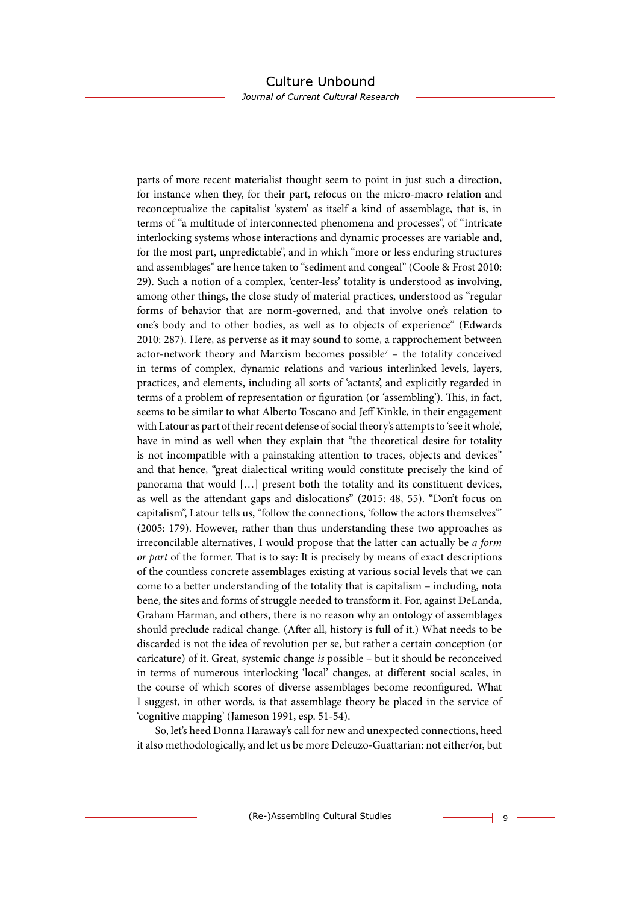Journal of Current Cultural Research

parts of more recent materialist thought seem to point in just such a direction, for instance when they, for their part, refocus on the micro-macro relation and reconceptualize the capitalist 'system' as itself a kind of assemblage, that is, in terms of "a multitude of interconnected phenomena and processes", of "intricate interlocking systems whose interactions and dynamic processes are variable and, for the most part, unpredictable", and in which "more or less enduring structures and assemblages" are hence taken to "sediment and congeal" (Coole & Frost 2010: 29). Such a notion of a complex, 'center-less' totality is understood as involving, among other things, the close study of material practices, understood as "regular forms of behavior that are norm-governed, and that involve one's relation to one's body and to other bodies, as well as to objects of experience" (Edwards 2010: 287). Here, as perverse as it may sound to some, a rapprochement between actor-network theory and Marxism becomes possible7 – the totality conceived in terms of complex, dynamic relations and various interlinked levels, layers, practices, and elements, including all sorts of 'actants', and explicitly regarded in terms of a problem of representation or figuration (or 'assembling'). This, in fact, seems to be similar to what Alberto Toscano and Jeff Kinkle, in their engagement with Latour as part of their recent defense of social theory's attempts to 'see it whole', have in mind as well when they explain that "the theoretical desire for totality is not incompatible with a painstaking attention to traces, objects and devices" and that hence, "great dialectical writing would constitute precisely the kind of panorama that would […] present both the totality and its constituent devices, as well as the attendant gaps and dislocations" (2015: 48, 55). "Don't focus on capitalism", Latour tells us, "follow the connections, 'follow the actors themselves'" (2005: 179). However, rather than thus understanding these two approaches as irreconcilable alternatives, I would propose that the latter can actually be *a form or part* of the former. That is to say: It is precisely by means of exact descriptions of the countless concrete assemblages existing at various social levels that we can come to a better understanding of the totality that is capitalism – including, nota bene, the sites and forms of struggle needed to transform it. For, against DeLanda, Graham Harman, and others, there is no reason why an ontology of assemblages should preclude radical change. (After all, history is full of it.) What needs to be discarded is not the idea of revolution per se, but rather a certain conception (or caricature) of it. Great, systemic change *is* possible – but it should be reconceived in terms of numerous interlocking 'local' changes, at different social scales, in the course of which scores of diverse assemblages become reconfigured. What I suggest, in other words, is that assemblage theory be placed in the service of 'cognitive mapping' (Jameson 1991, esp. 51-54).

So, let's heed Donna Haraway's call for new and unexpected connections, heed it also methodologically, and let us be more Deleuzo-Guattarian: not either/or, but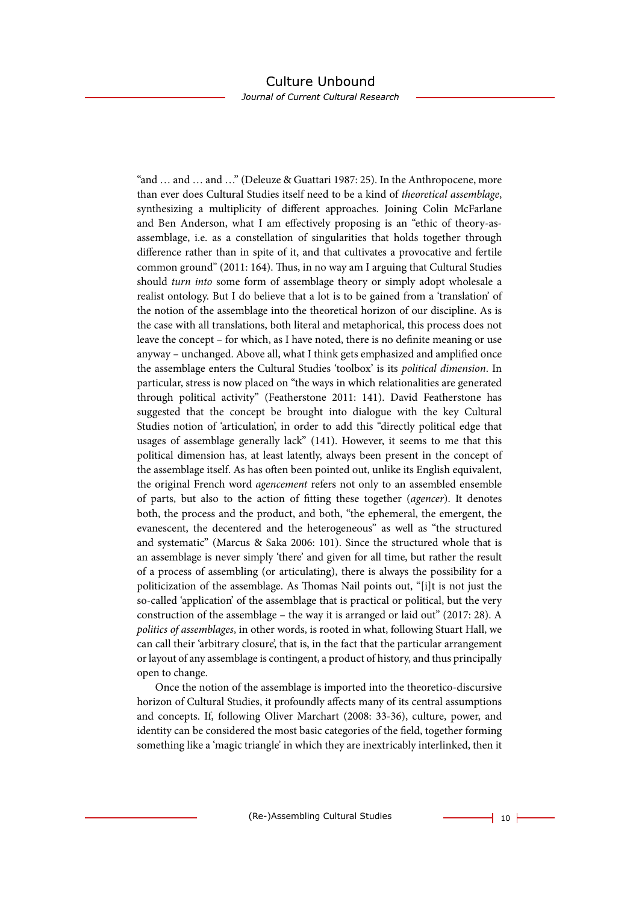#### Culture Unbound Journal of Current Cultural Research

"and … and … and …" (Deleuze & Guattari 1987: 25). In the Anthropocene, more than ever does Cultural Studies itself need to be a kind of *theoretical assemblage*, synthesizing a multiplicity of different approaches. Joining Colin McFarlane and Ben Anderson, what I am effectively proposing is an "ethic of theory-asassemblage, i.e. as a constellation of singularities that holds together through difference rather than in spite of it, and that cultivates a provocative and fertile common ground" (2011: 164). Thus, in no way am I arguing that Cultural Studies should *turn into* some form of assemblage theory or simply adopt wholesale a realist ontology. But I do believe that a lot is to be gained from a 'translation' of the notion of the assemblage into the theoretical horizon of our discipline. As is the case with all translations, both literal and metaphorical, this process does not leave the concept – for which, as I have noted, there is no definite meaning or use anyway – unchanged. Above all, what I think gets emphasized and amplified once the assemblage enters the Cultural Studies 'toolbox' is its *political dimension*. In particular, stress is now placed on "the ways in which relationalities are generated through political activity" (Featherstone 2011: 141). David Featherstone has suggested that the concept be brought into dialogue with the key Cultural Studies notion of 'articulation', in order to add this "directly political edge that usages of assemblage generally lack" (141). However, it seems to me that this political dimension has, at least latently, always been present in the concept of the assemblage itself. As has often been pointed out, unlike its English equivalent, the original French word *agencement* refers not only to an assembled ensemble of parts, but also to the action of fitting these together (*agencer*). It denotes both, the process and the product, and both, "the ephemeral, the emergent, the evanescent, the decentered and the heterogeneous" as well as "the structured and systematic" (Marcus & Saka 2006: 101). Since the structured whole that is an assemblage is never simply 'there' and given for all time, but rather the result of a process of assembling (or articulating), there is always the possibility for a politicization of the assemblage. As Thomas Nail points out, "[i]t is not just the so-called 'application' of the assemblage that is practical or political, but the very construction of the assemblage – the way it is arranged or laid out" (2017: 28). A *politics of assemblages*, in other words, is rooted in what, following Stuart Hall, we can call their 'arbitrary closure', that is, in the fact that the particular arrangement or layout of any assemblage is contingent, a product of history, and thus principally open to change.

Once the notion of the assemblage is imported into the theoretico-discursive horizon of Cultural Studies, it profoundly affects many of its central assumptions and concepts. If, following Oliver Marchart (2008: 33-36), culture, power, and identity can be considered the most basic categories of the field, together forming something like a 'magic triangle' in which they are inextricably interlinked, then it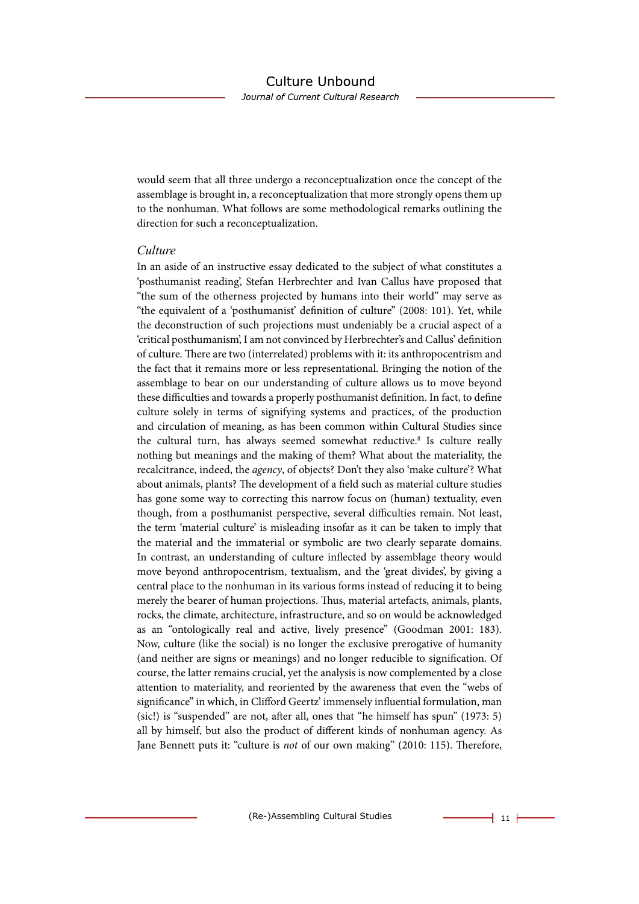would seem that all three undergo a reconceptualization once the concept of the assemblage is brought in, a reconceptualization that more strongly opens them up to the nonhuman. What follows are some methodological remarks outlining the direction for such a reconceptualization.

#### *Culture*

In an aside of an instructive essay dedicated to the subject of what constitutes a 'posthumanist reading', Stefan Herbrechter and Ivan Callus have proposed that "the sum of the otherness projected by humans into their world" may serve as "the equivalent of a 'posthumanist' definition of culture" (2008: 101). Yet, while the deconstruction of such projections must undeniably be a crucial aspect of a 'critical posthumanism', I am not convinced by Herbrechter's and Callus' definition of culture. There are two (interrelated) problems with it: its anthropocentrism and the fact that it remains more or less representational. Bringing the notion of the assemblage to bear on our understanding of culture allows us to move beyond these difficulties and towards a properly posthumanist definition. In fact, to define culture solely in terms of signifying systems and practices, of the production and circulation of meaning, as has been common within Cultural Studies since the cultural turn, has always seemed somewhat reductive.<sup>8</sup> Is culture really nothing but meanings and the making of them? What about the materiality, the recalcitrance, indeed, the *agency*, of objects? Don't they also 'make culture'? What about animals, plants? The development of a field such as material culture studies has gone some way to correcting this narrow focus on (human) textuality, even though, from a posthumanist perspective, several difficulties remain. Not least, the term 'material culture' is misleading insofar as it can be taken to imply that the material and the immaterial or symbolic are two clearly separate domains. In contrast, an understanding of culture inflected by assemblage theory would move beyond anthropocentrism, textualism, and the 'great divides', by giving a central place to the nonhuman in its various forms instead of reducing it to being merely the bearer of human projections. Thus, material artefacts, animals, plants, rocks, the climate, architecture, infrastructure, and so on would be acknowledged as an "ontologically real and active, lively presence" (Goodman 2001: 183). Now, culture (like the social) is no longer the exclusive prerogative of humanity (and neither are signs or meanings) and no longer reducible to signification. Of course, the latter remains crucial, yet the analysis is now complemented by a close attention to materiality, and reoriented by the awareness that even the "webs of significance" in which, in Clifford Geertz' immensely influential formulation, man (sic!) is "suspended" are not, after all, ones that "he himself has spun" (1973: 5) all by himself, but also the product of different kinds of nonhuman agency. As Jane Bennett puts it: "culture is *not* of our own making" (2010: 115). Therefore,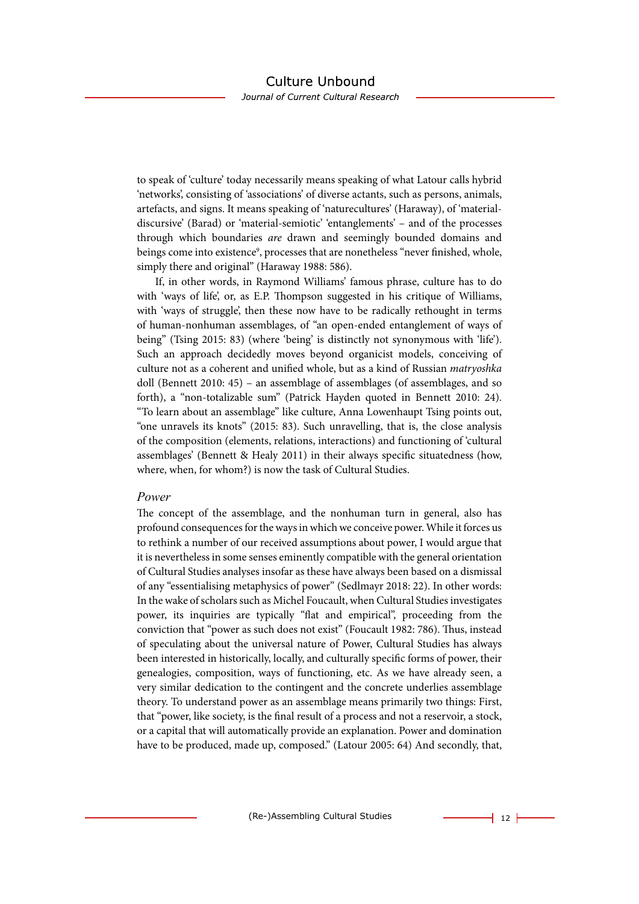to speak of 'culture' today necessarily means speaking of what Latour calls hybrid 'networks', consisting of 'associations' of diverse actants, such as persons, animals, artefacts, and signs. It means speaking of 'naturecultures' (Haraway), of 'materialdiscursive' (Barad) or 'material-semiotic' 'entanglements' – and of the processes through which boundaries *are* drawn and seemingly bounded domains and beings come into existence<sup>9</sup>, processes that are nonetheless "never finished, whole, simply there and original" (Haraway 1988: 586).

If, in other words, in Raymond Williams' famous phrase, culture has to do with 'ways of life', or, as E.P. Thompson suggested in his critique of Williams, with 'ways of struggle', then these now have to be radically rethought in terms of human-nonhuman assemblages, of "an open-ended entanglement of ways of being" (Tsing 2015: 83) (where 'being' is distinctly not synonymous with 'life'). Such an approach decidedly moves beyond organicist models, conceiving of culture not as a coherent and unified whole, but as a kind of Russian *matryoshka* doll (Bennett 2010: 45) – an assemblage of assemblages (of assemblages, and so forth), a "non-totalizable sum" (Patrick Hayden quoted in Bennett 2010: 24). "To learn about an assemblage" like culture, Anna Lowenhaupt Tsing points out, "one unravels its knots" (2015: 83). Such unravelling, that is, the close analysis of the composition (elements, relations, interactions) and functioning of 'cultural assemblages' (Bennett & Healy 2011) in their always specific situatedness (how, where, when, for whom?) is now the task of Cultural Studies.

#### *Power*

The concept of the assemblage, and the nonhuman turn in general, also has profound consequences for the ways in which we conceive power. While it forces us to rethink a number of our received assumptions about power, I would argue that it is nevertheless in some senses eminently compatible with the general orientation of Cultural Studies analyses insofar as these have always been based on a dismissal of any "essentialising metaphysics of power" (Sedlmayr 2018: 22). In other words: In the wake of scholars such as Michel Foucault, when Cultural Studies investigates power, its inquiries are typically "flat and empirical", proceeding from the conviction that "power as such does not exist" (Foucault 1982: 786). Thus, instead of speculating about the universal nature of Power, Cultural Studies has always been interested in historically, locally, and culturally specific forms of power, their genealogies, composition, ways of functioning, etc. As we have already seen, a very similar dedication to the contingent and the concrete underlies assemblage theory. To understand power as an assemblage means primarily two things: First, that "power, like society, is the final result of a process and not a reservoir, a stock, or a capital that will automatically provide an explanation. Power and domination have to be produced, made up, composed." (Latour 2005: 64) And secondly, that,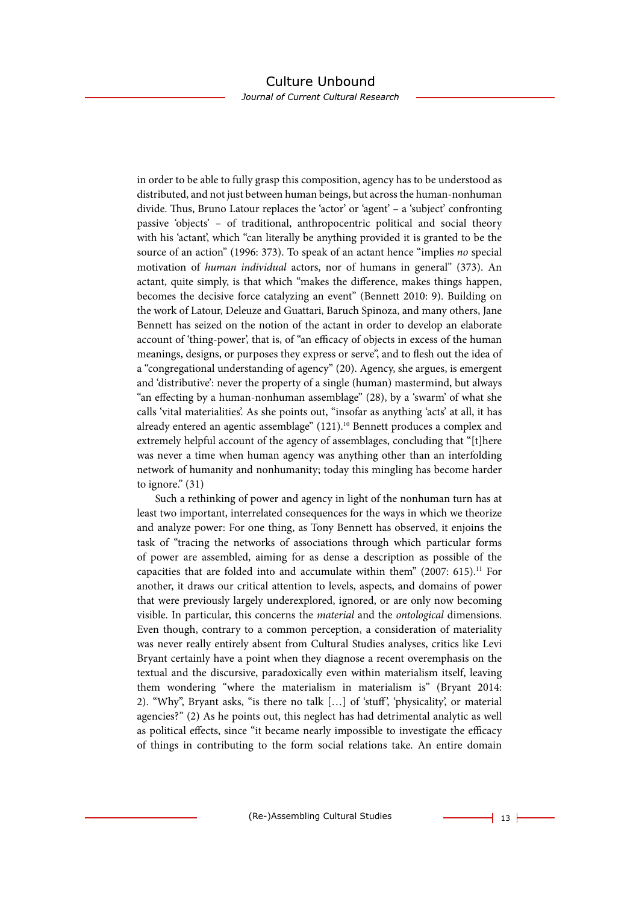Journal of Current Cultural Research

in order to be able to fully grasp this composition, agency has to be understood as distributed, and not just between human beings, but across the human-nonhuman divide. Thus, Bruno Latour replaces the 'actor' or 'agent' – a 'subject' confronting passive 'objects' – of traditional, anthropocentric political and social theory with his 'actant', which "can literally be anything provided it is granted to be the source of an action" (1996: 373). To speak of an actant hence "implies *no* special motivation of *human individual* actors, nor of humans in general" (373). An actant, quite simply, is that which "makes the difference, makes things happen, becomes the decisive force catalyzing an event" (Bennett 2010: 9). Building on the work of Latour, Deleuze and Guattari, Baruch Spinoza, and many others, Jane Bennett has seized on the notion of the actant in order to develop an elaborate account of 'thing-power', that is, of "an efficacy of objects in excess of the human meanings, designs, or purposes they express or serve", and to flesh out the idea of a "congregational understanding of agency" (20). Agency, she argues, is emergent and 'distributive': never the property of a single (human) mastermind, but always "an effecting by a human-nonhuman assemblage" (28), by a 'swarm' of what she calls 'vital materialities'. As she points out, "insofar as anything 'acts' at all, it has already entered an agentic assemblage" (121).<sup>10</sup> Bennett produces a complex and extremely helpful account of the agency of assemblages, concluding that "[t]here was never a time when human agency was anything other than an interfolding network of humanity and nonhumanity; today this mingling has become harder to ignore." (31)

Such a rethinking of power and agency in light of the nonhuman turn has at least two important, interrelated consequences for the ways in which we theorize and analyze power: For one thing, as Tony Bennett has observed, it enjoins the task of "tracing the networks of associations through which particular forms of power are assembled, aiming for as dense a description as possible of the capacities that are folded into and accumulate within them"  $(2007: 615).$ <sup>11</sup> For another, it draws our critical attention to levels, aspects, and domains of power that were previously largely underexplored, ignored, or are only now becoming visible. In particular, this concerns the *material* and the *ontological* dimensions. Even though, contrary to a common perception, a consideration of materiality was never really entirely absent from Cultural Studies analyses, critics like Levi Bryant certainly have a point when they diagnose a recent overemphasis on the textual and the discursive, paradoxically even within materialism itself, leaving them wondering "where the materialism in materialism is" (Bryant 2014: 2). "Why", Bryant asks, "is there no talk […] of 'stuff ', 'physicality', or material agencies?" (2) As he points out, this neglect has had detrimental analytic as well as political effects, since "it became nearly impossible to investigate the efficacy of things in contributing to the form social relations take. An entire domain

(Re-)Assembling Cultural Studies 13 H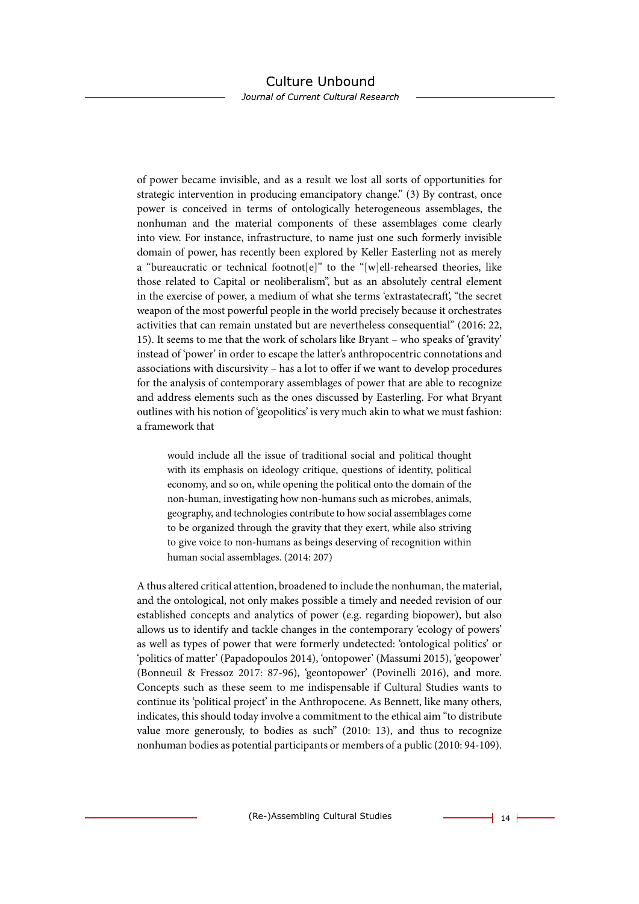Journal of Current Cultural Research

of power became invisible, and as a result we lost all sorts of opportunities for strategic intervention in producing emancipatory change." (3) By contrast, once power is conceived in terms of ontologically heterogeneous assemblages, the nonhuman and the material components of these assemblages come clearly into view. For instance, infrastructure, to name just one such formerly invisible domain of power, has recently been explored by Keller Easterling not as merely a "bureaucratic or technical footnot[e]" to the "[w]ell-rehearsed theories, like those related to Capital or neoliberalism", but as an absolutely central element in the exercise of power, a medium of what she terms 'extrastatecraft', "the secret weapon of the most powerful people in the world precisely because it orchestrates activities that can remain unstated but are nevertheless consequential" (2016: 22, 15). It seems to me that the work of scholars like Bryant – who speaks of 'gravity' instead of 'power' in order to escape the latter's anthropocentric connotations and associations with discursivity – has a lot to offer if we want to develop procedures for the analysis of contemporary assemblages of power that are able to recognize and address elements such as the ones discussed by Easterling. For what Bryant outlines with his notion of 'geopolitics' is very much akin to what we must fashion: a framework that

would include all the issue of traditional social and political thought with its emphasis on ideology critique, questions of identity, political economy, and so on, while opening the political onto the domain of the non-human, investigating how non-humans such as microbes, animals, geography, and technologies contribute to how social assemblages come to be organized through the gravity that they exert, while also striving to give voice to non-humans as beings deserving of recognition within human social assemblages. (2014: 207)

A thus altered critical attention, broadened to include the nonhuman, the material, and the ontological, not only makes possible a timely and needed revision of our established concepts and analytics of power (e.g. regarding biopower), but also allows us to identify and tackle changes in the contemporary 'ecology of powers' as well as types of power that were formerly undetected: 'ontological politics' or 'politics of matter' (Papadopoulos 2014), 'ontopower' (Massumi 2015), 'geopower' (Bonneuil & Fressoz 2017: 87-96), 'geontopower' (Povinelli 2016), and more. Concepts such as these seem to me indispensable if Cultural Studies wants to continue its 'political project' in the Anthropocene. As Bennett, like many others, indicates, this should today involve a commitment to the ethical aim "to distribute value more generously, to bodies as such" (2010: 13), and thus to recognize nonhuman bodies as potential participants or members of a public (2010: 94-109).

(Re-)Assembling Cultural Studies 14 H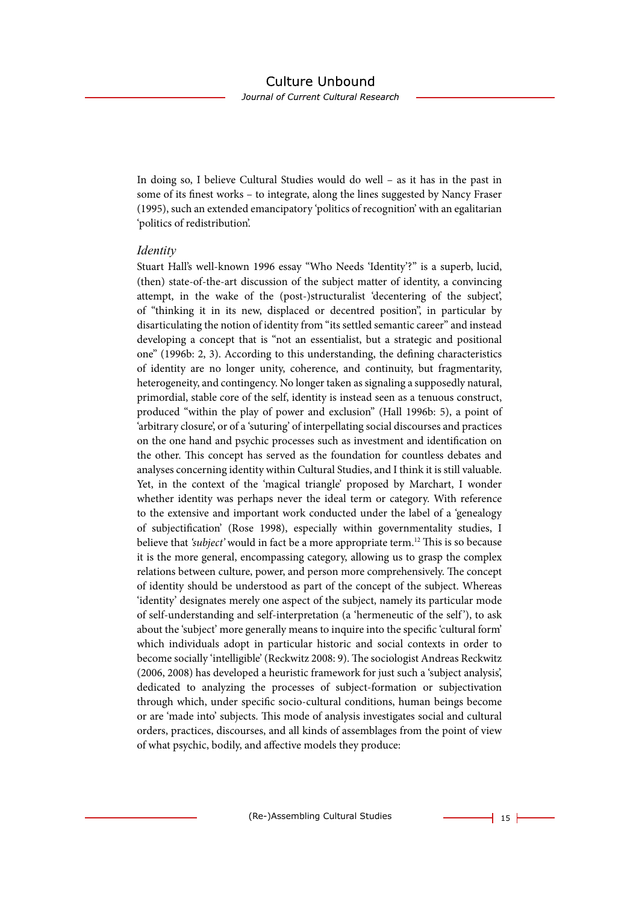Journal of Current Cultural Research

In doing so, I believe Cultural Studies would do well – as it has in the past in some of its finest works – to integrate, along the lines suggested by Nancy Fraser (1995), such an extended emancipatory 'politics of recognition' with an egalitarian 'politics of redistribution'.

#### *Identity*

Stuart Hall's well-known 1996 essay "Who Needs 'Identity'?" is a superb, lucid, (then) state-of-the-art discussion of the subject matter of identity, a convincing attempt, in the wake of the (post-)structuralist 'decentering of the subject', of "thinking it in its new, displaced or decentred position", in particular by disarticulating the notion of identity from "its settled semantic career" and instead developing a concept that is "not an essentialist, but a strategic and positional one" (1996b: 2, 3). According to this understanding, the defining characteristics of identity are no longer unity, coherence, and continuity, but fragmentarity, heterogeneity, and contingency. No longer taken as signaling a supposedly natural, primordial, stable core of the self, identity is instead seen as a tenuous construct, produced "within the play of power and exclusion" (Hall 1996b: 5), a point of 'arbitrary closure', or of a 'suturing' of interpellating social discourses and practices on the one hand and psychic processes such as investment and identification on the other. This concept has served as the foundation for countless debates and analyses concerning identity within Cultural Studies, and I think it is still valuable. Yet, in the context of the 'magical triangle' proposed by Marchart, I wonder whether identity was perhaps never the ideal term or category. With reference to the extensive and important work conducted under the label of a 'genealogy of subjectification' (Rose 1998), especially within governmentality studies, I believe that *'subject'* would in fact be a more appropriate term.<sup>12</sup> This is so because it is the more general, encompassing category, allowing us to grasp the complex relations between culture, power, and person more comprehensively. The concept of identity should be understood as part of the concept of the subject. Whereas 'identity' designates merely one aspect of the subject, namely its particular mode of self-understanding and self-interpretation (a 'hermeneutic of the self '), to ask about the 'subject' more generally means to inquire into the specific 'cultural form' which individuals adopt in particular historic and social contexts in order to become socially 'intelligible' (Reckwitz 2008: 9). The sociologist Andreas Reckwitz (2006, 2008) has developed a heuristic framework for just such a 'subject analysis', dedicated to analyzing the processes of subject-formation or subjectivation through which, under specific socio-cultural conditions, human beings become or are 'made into' subjects. This mode of analysis investigates social and cultural orders, practices, discourses, and all kinds of assemblages from the point of view of what psychic, bodily, and affective models they produce: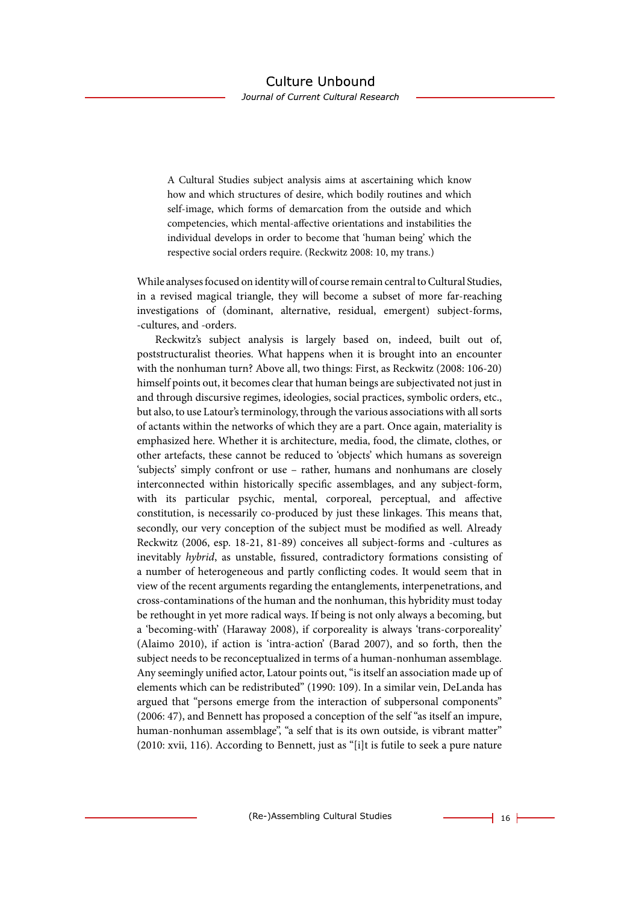A Cultural Studies subject analysis aims at ascertaining which know how and which structures of desire, which bodily routines and which self-image, which forms of demarcation from the outside and which competencies, which mental-affective orientations and instabilities the individual develops in order to become that 'human being' which the respective social orders require. (Reckwitz 2008: 10, my trans.)

While analyses focused on identity will of course remain central to Cultural Studies, in a revised magical triangle, they will become a subset of more far-reaching investigations of (dominant, alternative, residual, emergent) subject-forms, -cultures, and -orders.

Reckwitz's subject analysis is largely based on, indeed, built out of, poststructuralist theories. What happens when it is brought into an encounter with the nonhuman turn? Above all, two things: First, as Reckwitz (2008: 106-20) himself points out, it becomes clear that human beings are subjectivated not just in and through discursive regimes, ideologies, social practices, symbolic orders, etc., but also, to use Latour's terminology, through the various associations with all sorts of actants within the networks of which they are a part. Once again, materiality is emphasized here. Whether it is architecture, media, food, the climate, clothes, or other artefacts, these cannot be reduced to 'objects' which humans as sovereign 'subjects' simply confront or use – rather, humans and nonhumans are closely interconnected within historically specific assemblages, and any subject-form, with its particular psychic, mental, corporeal, perceptual, and affective constitution, is necessarily co-produced by just these linkages. This means that, secondly, our very conception of the subject must be modified as well. Already Reckwitz (2006, esp. 18-21, 81-89) conceives all subject-forms and -cultures as inevitably *hybrid*, as unstable, fissured, contradictory formations consisting of a number of heterogeneous and partly conflicting codes. It would seem that in view of the recent arguments regarding the entanglements, interpenetrations, and cross-contaminations of the human and the nonhuman, this hybridity must today be rethought in yet more radical ways. If being is not only always a becoming, but a 'becoming-with' (Haraway 2008), if corporeality is always 'trans-corporeality' (Alaimo 2010), if action is 'intra-action' (Barad 2007), and so forth, then the subject needs to be reconceptualized in terms of a human-nonhuman assemblage. Any seemingly unified actor, Latour points out, "is itself an association made up of elements which can be redistributed" (1990: 109). In a similar vein, DeLanda has argued that "persons emerge from the interaction of subpersonal components" (2006: 47), and Bennett has proposed a conception of the self "as itself an impure, human-nonhuman assemblage", "a self that is its own outside, is vibrant matter" (2010: xvii, 116). According to Bennett, just as "[i]t is futile to seek a pure nature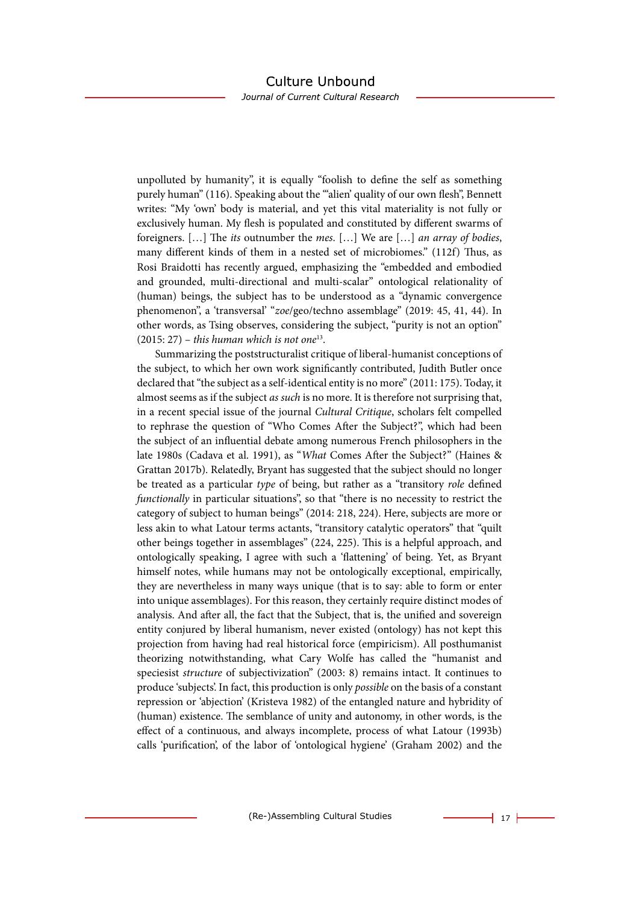Journal of Current Cultural Research

unpolluted by humanity", it is equally "foolish to define the self as something purely human" (116). Speaking about the ""alien' quality of our own flesh", Bennett writes: "My 'own' body is material, and yet this vital materiality is not fully or exclusively human. My flesh is populated and constituted by different swarms of foreigners. […] The *its* outnumber the *mes*. […] We are […] *an array of bodies*, many different kinds of them in a nested set of microbiomes." (112f) Thus, as Rosi Braidotti has recently argued, emphasizing the "embedded and embodied and grounded, multi-directional and multi-scalar" ontological relationality of (human) beings, the subject has to be understood as a "dynamic convergence phenomenon", a 'transversal' "*zoe*/geo/techno assemblage" (2019: 45, 41, 44). In other words, as Tsing observes, considering the subject, "purity is not an option" (2015: 27) – *this human which is not one*13.

Summarizing the poststructuralist critique of liberal-humanist conceptions of the subject, to which her own work significantly contributed, Judith Butler once declared that "the subject as a self-identical entity is no more" (2011: 175). Today, it almost seems as if the subject *as such* is no more. It is therefore not surprising that, in a recent special issue of the journal *Cultural Critique*, scholars felt compelled to rephrase the question of "Who Comes After the Subject?", which had been the subject of an influential debate among numerous French philosophers in the late 1980s (Cadava et al. 1991), as "*What* Comes After the Subject?" (Haines & Grattan 2017b). Relatedly, Bryant has suggested that the subject should no longer be treated as a particular *type* of being, but rather as a "transitory *role* defined *functionally* in particular situations", so that "there is no necessity to restrict the category of subject to human beings" (2014: 218, 224). Here, subjects are more or less akin to what Latour terms actants, "transitory catalytic operators" that "quilt other beings together in assemblages" (224, 225). This is a helpful approach, and ontologically speaking, I agree with such a 'flattening' of being. Yet, as Bryant himself notes, while humans may not be ontologically exceptional, empirically, they are nevertheless in many ways unique (that is to say: able to form or enter into unique assemblages). For this reason, they certainly require distinct modes of analysis. And after all, the fact that the Subject, that is, the unified and sovereign entity conjured by liberal humanism, never existed (ontology) has not kept this projection from having had real historical force (empiricism). All posthumanist theorizing notwithstanding, what Cary Wolfe has called the "humanist and speciesist *structure* of subjectivization" (2003: 8) remains intact. It continues to produce 'subjects'. In fact, this production is only *possible* on the basis of a constant repression or 'abjection' (Kristeva 1982) of the entangled nature and hybridity of (human) existence. The semblance of unity and autonomy, in other words, is the effect of a continuous, and always incomplete, process of what Latour (1993b) calls 'purification', of the labor of 'ontological hygiene' (Graham 2002) and the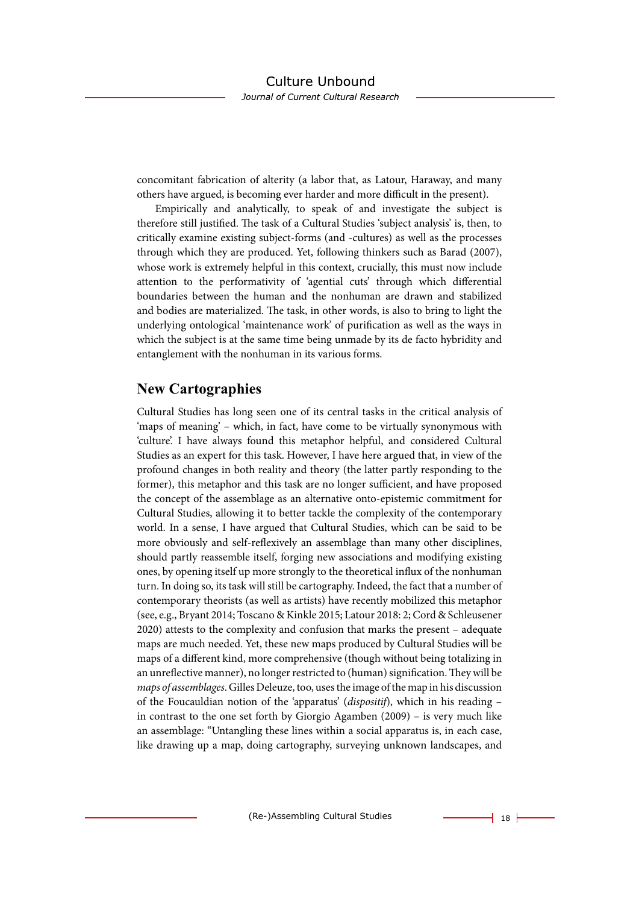concomitant fabrication of alterity (a labor that, as Latour, Haraway, and many others have argued, is becoming ever harder and more difficult in the present).

Empirically and analytically, to speak of and investigate the subject is therefore still justified. The task of a Cultural Studies 'subject analysis' is, then, to critically examine existing subject-forms (and -cultures) as well as the processes through which they are produced. Yet, following thinkers such as Barad (2007), whose work is extremely helpful in this context, crucially, this must now include attention to the performativity of 'agential cuts' through which differential boundaries between the human and the nonhuman are drawn and stabilized and bodies are materialized. The task, in other words, is also to bring to light the underlying ontological 'maintenance work' of purification as well as the ways in which the subject is at the same time being unmade by its de facto hybridity and entanglement with the nonhuman in its various forms.

# **New Cartographies**

Cultural Studies has long seen one of its central tasks in the critical analysis of 'maps of meaning' – which, in fact, have come to be virtually synonymous with 'culture'. I have always found this metaphor helpful, and considered Cultural Studies as an expert for this task. However, I have here argued that, in view of the profound changes in both reality and theory (the latter partly responding to the former), this metaphor and this task are no longer sufficient, and have proposed the concept of the assemblage as an alternative onto-epistemic commitment for Cultural Studies, allowing it to better tackle the complexity of the contemporary world. In a sense, I have argued that Cultural Studies, which can be said to be more obviously and self-reflexively an assemblage than many other disciplines, should partly reassemble itself, forging new associations and modifying existing ones, by opening itself up more strongly to the theoretical influx of the nonhuman turn. In doing so, its task will still be cartography. Indeed, the fact that a number of contemporary theorists (as well as artists) have recently mobilized this metaphor (see, e.g., Bryant 2014; Toscano & Kinkle 2015; Latour 2018: 2; Cord & Schleusener 2020) attests to the complexity and confusion that marks the present – adequate maps are much needed. Yet, these new maps produced by Cultural Studies will be maps of a different kind, more comprehensive (though without being totalizing in an unreflective manner), no longer restricted to (human) signification. They will be *maps of assemblages*. Gilles Deleuze, too, uses the image of the map in his discussion of the Foucauldian notion of the 'apparatus' (*dispositif*), which in his reading – in contrast to the one set forth by Giorgio Agamben (2009) – is very much like an assemblage: "Untangling these lines within a social apparatus is, in each case, like drawing up a map, doing cartography, surveying unknown landscapes, and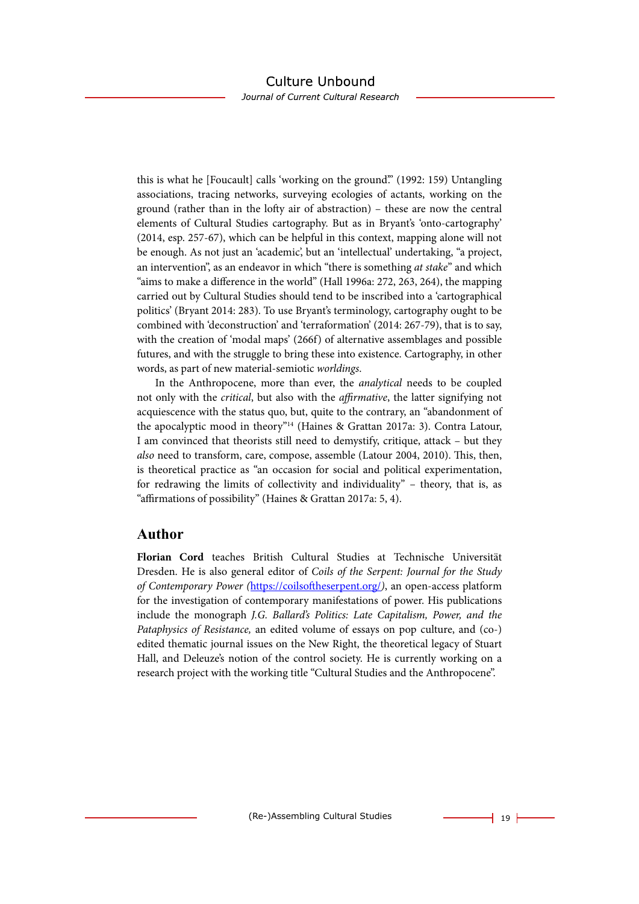Journal of Current Cultural Research

this is what he [Foucault] calls 'working on the ground'." (1992: 159) Untangling associations, tracing networks, surveying ecologies of actants, working on the ground (rather than in the lofty air of abstraction) – these are now the central elements of Cultural Studies cartography. But as in Bryant's 'onto-cartography' (2014, esp. 257-67), which can be helpful in this context, mapping alone will not be enough. As not just an 'academic', but an 'intellectual' undertaking, "a project, an intervention", as an endeavor in which "there is something *at stake*" and which "aims to make a difference in the world" (Hall 1996a: 272, 263, 264), the mapping carried out by Cultural Studies should tend to be inscribed into a 'cartographical politics' (Bryant 2014: 283). To use Bryant's terminology, cartography ought to be combined with 'deconstruction' and 'terraformation' (2014: 267-79), that is to say, with the creation of 'modal maps' (266f) of alternative assemblages and possible futures, and with the struggle to bring these into existence. Cartography, in other words, as part of new material-semiotic *worldings*.

In the Anthropocene, more than ever, the *analytical* needs to be coupled not only with the *critical*, but also with the *affirmative*, the latter signifying not acquiescence with the status quo, but, quite to the contrary, an "abandonment of the apocalyptic mood in theory"14 (Haines & Grattan 2017a: 3). Contra Latour, I am convinced that theorists still need to demystify, critique, attack – but they *also* need to transform, care, compose, assemble (Latour 2004, 2010). This, then, is theoretical practice as "an occasion for social and political experimentation, for redrawing the limits of collectivity and individuality" – theory, that is, as "affirmations of possibility" (Haines & Grattan 2017a: 5, 4).

#### **Author**

**Florian Cord** teaches British Cultural Studies at Technische Universität Dresden. He is also general editor of *Coils of the Serpent: Journal for the Study of Contemporary Power (*[https://coilsoftheserpent.org/](https://eur01.safelinks.protection.outlook.com/?url=https%3A%2F%2Fcoilsoftheserpent.org%2F&data=05%7C01%7Cper.israelson%40liu.se%7Cd35d98cb87a84fe0897c08da3d69ecc4%7C913f18ec7f264c5fa816784fe9a58edd%7C0%7C0%7C637889822972272563%7CUnknown%7CTWFpbGZsb3d8eyJWIjoiMC4wLjAwMDAiLCJQIjoiV2luMzIiLCJBTiI6Ik1haWwiLCJXVCI6Mn0%3D%7C2000%7C%7C%7C&sdata=2gluCGtcXZR308mF%2Fk0CNn0b9G58VDctT%2BY6%2BI47H38%3D&reserved=0)*)*, an open-access platform for the investigation of contemporary manifestations of power. His publications include the monograph *J.G. Ballard's Politics: Late Capitalism, Power, and the Pataphysics of Resistance,* an edited volume of essays on pop culture, and (co-) edited thematic journal issues on the New Right, the theoretical legacy of Stuart Hall, and Deleuze's notion of the control society. He is currently working on a research project with the working title "Cultural Studies and the Anthropocene".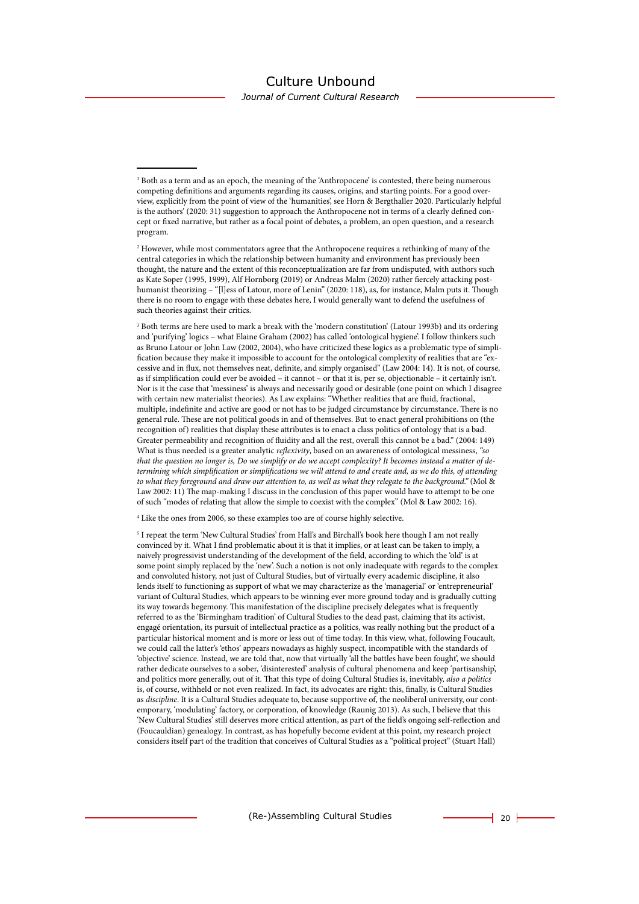Journal of Current Cultural Research

<sup>3</sup> Both terms are here used to mark a break with the 'modern constitution' (Latour 1993b) and its ordering and 'purifying' logics – what Elaine Graham (2002) has called 'ontological hygiene'. I follow thinkers such as Bruno Latour or John Law (2002, 2004), who have criticized these logics as a problematic type of simplification because they make it impossible to account for the ontological complexity of realities that are "excessive and in flux, not themselves neat, definite, and simply organised" (Law 2004: 14). It is not, of course, as if simplification could ever be avoided – it cannot – or that it is, per se, objectionable – it certainly isn't. Nor is it the case that 'messiness' is always and necessarily good or desirable (one point on which I disagree with certain new materialist theories). As Law explains: "Whether realities that are fluid, fractional, multiple, indefinite and active are good or not has to be judged circumstance by circumstance. There is no general rule. These are not political goods in and of themselves. But to enact general prohibitions on (the recognition of) realities that display these attributes is to enact a class politics of ontology that is a bad. Greater permeability and recognition of fluidity and all the rest, overall this cannot be a bad." (2004: 149) What is thus needed is a greater analytic *reflexivity*, based on an awareness of ontological messiness, *"so that the question no longer is, Do we simplify or do we accept complexity? It becomes instead a matter of determining which simplification or simplifications we will attend to and create and, as we do this, of attending to what they foreground and draw our attention to, as well as what they relegate to the background."* (Mol & Law 2002: 11) The map-making I discuss in the conclusion of this paper would have to attempt to be one of such "modes of relating that allow the simple to coexist with the complex" (Mol & Law 2002: 16).

<sup>4</sup> Like the ones from 2006, so these examples too are of course highly selective.

5 I repeat the term 'New Cultural Studies' from Hall's and Birchall's book here though I am not really convinced by it. What I find problematic about it is that it implies, or at least can be taken to imply, a naively progressivist understanding of the development of the field, according to which the 'old' is at some point simply replaced by the 'new'. Such a notion is not only inadequate with regards to the complex and convoluted history, not just of Cultural Studies, but of virtually every academic discipline, it also lends itself to functioning as support of what we may characterize as the 'managerial' or 'entrepreneurial' variant of Cultural Studies, which appears to be winning ever more ground today and is gradually cutting its way towards hegemony. This manifestation of the discipline precisely delegates what is frequently referred to as the 'Birmingham tradition' of Cultural Studies to the dead past, claiming that its activist, engagé orientation, its pursuit of intellectual practice as a politics, was really nothing but the product of a particular historical moment and is more or less out of time today. In this view, what, following Foucault, we could call the latter's 'ethos' appears nowadays as highly suspect, incompatible with the standards of 'objective' science. Instead, we are told that, now that virtually 'all the battles have been fought', we should rather dedicate ourselves to a sober, 'disinterested' analysis of cultural phenomena and keep 'partisanship', and politics more generally, out of it. That this type of doing Cultural Studies is, inevitably, *also a politics* is, of course, withheld or not even realized. In fact, its advocates are right: this, finally, is Cultural Studies as *discipline*. It is a Cultural Studies adequate to, because supportive of, the neoliberal university, our contemporary, 'modulating' factory, or corporation, of knowledge (Raunig 2013). As such, I believe that this 'New Cultural Studies' still deserves more critical attention, as part of the field's ongoing self-reflection and (Foucauldian) genealogy. In contrast, as has hopefully become evident at this point, my research project considers itself part of the tradition that conceives of Cultural Studies as a "political project" (Stuart Hall)

<sup>1</sup> Both as a term and as an epoch, the meaning of the 'Anthropocene' is contested, there being numerous competing definitions and arguments regarding its causes, origins, and starting points. For a good overview, explicitly from the point of view of the 'humanities', see Horn & Bergthaller 2020. Particularly helpful is the authors' (2020: 31) suggestion to approach the Anthropocene not in terms of a clearly defined concept or fixed narrative, but rather as a focal point of debates, a problem, an open question, and a research program.

<sup>2</sup> However, while most commentators agree that the Anthropocene requires a rethinking of many of the central categories in which the relationship between humanity and environment has previously been thought, the nature and the extent of this reconceptualization are far from undisputed, with authors such as Kate Soper (1995, 1999), Alf Hornborg (2019) or Andreas Malm (2020) rather fiercely attacking posthumanist theorizing – "[l]ess of Latour, more of Lenin" (2020: 118), as, for instance, Malm puts it. Though there is no room to engage with these debates here, I would generally want to defend the usefulness of such theories against their critics.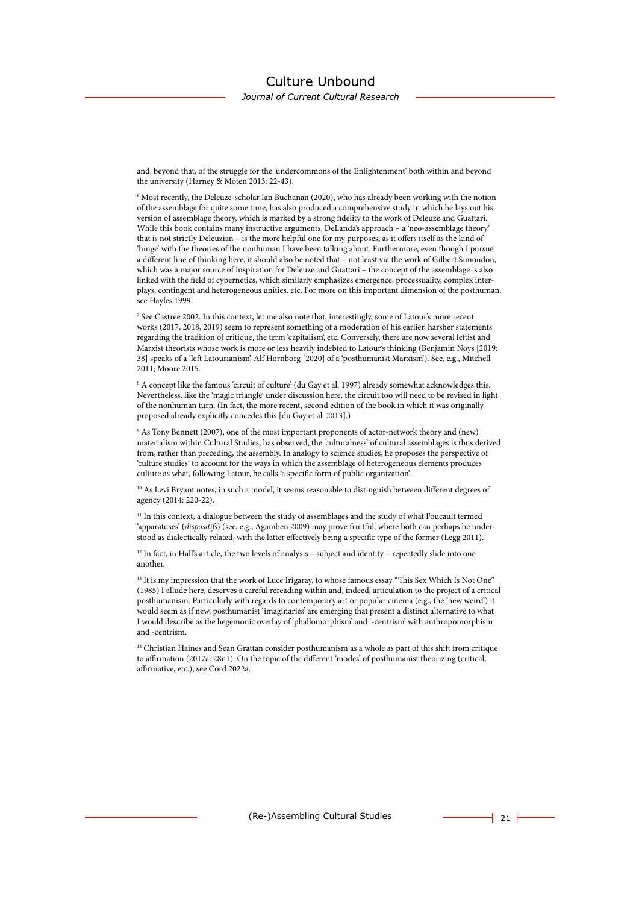Journal of Current Cultural Research

and, beyond that, of the struggle for the 'undercommons of the Enlightenment' both within and beyond the university (Harney & Moten 2013: 22-43).

6 Most recently, the Deleuze-scholar Ian Buchanan (2020), who has already been working with the notion of the assemblage for quite some time, has also produced a comprehensive study in which he lays out his version of assemblage theory, which is marked by a strong fidelity to the work of Deleuze and Guattari. While this book contains many instructive arguments, DeLanda's approach – a 'neo-assemblage theory' that is not strictly Deleuzian – is the more helpful one for my purposes, as it offers itself as the kind of 'hinge' with the theories of the nonhuman I have been talking about. Furthermore, even though I pursue a different line of thinking here, it should also be noted that – not least via the work of Gilbert Simondon, which was a major source of inspiration for Deleuze and Guattari – the concept of the assemblage is also linked with the field of cybernetics, which similarly emphasizes emergence, processuality, complex interplays, contingent and heterogeneous unities, etc. For more on this important dimension of the posthuman, see Hayles 1999.

7 See Castree 2002. In this context, let me also note that, interestingly, some of Latour's more recent works (2017, 2018, 2019) seem to represent something of a moderation of his earlier, harsher statements regarding the tradition of critique, the term 'capitalism', etc. Conversely, there are now several leftist and Marxist theorists whose work is more or less heavily indebted to Latour's thinking (Benjamin Noys [2019: 38] speaks of a 'left Latourianism', Alf Hornborg [2020] of a 'posthumanist Marxism'). See, e.g., Mitchell 2011; Moore 2015.

8 A concept like the famous 'circuit of culture' (du Gay et al. 1997) already somewhat acknowledges this. Nevertheless, like the 'magic triangle' under discussion here, the circuit too will need to be revised in light of the nonhuman turn. (In fact, the more recent, second edition of the book in which it was originally proposed already explicitly concedes this [du Gay et al. 2013].)

9 As Tony Bennett (2007), one of the most important proponents of actor-network theory and (new) materialism within Cultural Studies, has observed, the 'culturalness' of cultural assemblages is thus derived from, rather than preceding, the assembly. In analogy to science studies, he proposes the perspective of 'culture studies' to account for the ways in which the assemblage of heterogeneous elements produces culture as what, following Latour, he calls 'a specific form of public organization'.

<sup>10</sup> As Levi Bryant notes, in such a model, it seems reasonable to distinguish between different degrees of agency (2014: 220-22).

<sup>11</sup> In this context, a dialogue between the study of assemblages and the study of what Foucault termed 'apparatuses' (*dispositifs*) (see, e.g., Agamben 2009) may prove fruitful, where both can perhaps be understood as dialectically related, with the latter effectively being a specific type of the former (Legg 2011).

<sup>12</sup> In fact, in Hall's article, the two levels of analysis – subject and identity – repeatedly slide into one another.

<sup>13</sup> It is my impression that the work of Luce Irigaray, to whose famous essay "This Sex Which Is Not One" (1985) I allude here, deserves a careful rereading within and, indeed, articulation to the project of a critical posthumanism. Particularly with regards to contemporary art or popular cinema (e.g., the 'new weird') it would seem as if new, posthumanist 'imaginaries' are emerging that present a distinct alternative to what I would describe as the hegemonic overlay of 'phallomorphism' and '-centrism' with anthropomorphism and -centrism.

<sup>14</sup> Christian Haines and Sean Grattan consider posthumanism as a whole as part of this shift from critique to affirmation (2017a: 28n1). On the topic of the different 'modes' of posthumanist theorizing (critical, affirmative, etc.), see Cord 2022a.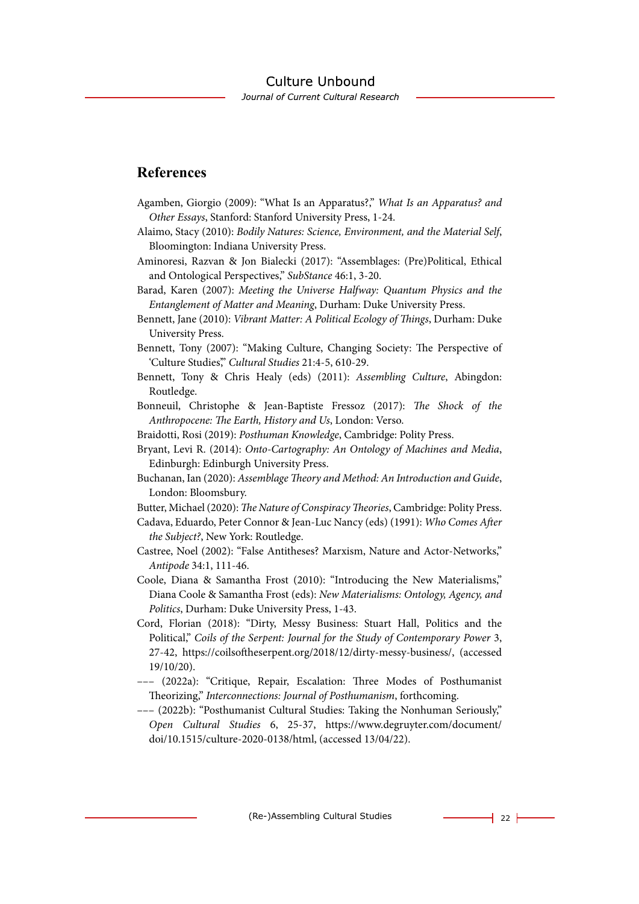# **References**

- Agamben, Giorgio (2009): "What Is an Apparatus?," *What Is an Apparatus? and Other Essays*, Stanford: Stanford University Press, 1-24.
- Alaimo, Stacy (2010): *Bodily Natures: Science, Environment, and the Material Self*, Bloomington: Indiana University Press.
- Aminoresi, Razvan & Jon Bialecki (2017): "Assemblages: (Pre)Political, Ethical and Ontological Perspectives," *SubStance* 46:1, 3-20.
- Barad, Karen (2007): *Meeting the Universe Halfway: Quantum Physics and the Entanglement of Matter and Meaning*, Durham: Duke University Press.
- Bennett, Jane (2010): *Vibrant Matter: A Political Ecology of Things*, Durham: Duke University Press.
- Bennett, Tony (2007): "Making Culture, Changing Society: The Perspective of 'Culture Studies'," *Cultural Studies* 21:4-5, 610-29.
- Bennett, Tony & Chris Healy (eds) (2011): *Assembling Culture*, Abingdon: Routledge.
- Bonneuil, Christophe & Jean-Baptiste Fressoz (2017): *The Shock of the Anthropocene: The Earth, History and Us*, London: Verso.
- Braidotti, Rosi (2019): *Posthuman Knowledge*, Cambridge: Polity Press.
- Bryant, Levi R. (2014): *Onto-Cartography: An Ontology of Machines and Media*, Edinburgh: Edinburgh University Press.
- Buchanan, Ian (2020): *Assemblage Theory and Method: An Introduction and Guide*, London: Bloomsbury.
- Butter, Michael (2020): *The Nature of Conspiracy Theories*, Cambridge: Polity Press.
- Cadava, Eduardo, Peter Connor & Jean-Luc Nancy (eds) (1991): *Who Comes After the Subject?*, New York: Routledge.
- Castree, Noel (2002): "False Antitheses? Marxism, Nature and Actor-Networks," *Antipode* 34:1, 111-46.
- Coole, Diana & Samantha Frost (2010): "Introducing the New Materialisms," Diana Coole & Samantha Frost (eds): *New Materialisms: Ontology, Agency, and Politics*, Durham: Duke University Press, 1-43.
- Cord, Florian (2018): "Dirty, Messy Business: Stuart Hall, Politics and the Political," *Coils of the Serpent: Journal for the Study of Contemporary Power* 3, 27-42, https://coilsoftheserpent.org/2018/12/dirty-messy-business/, (accessed 19/10/20).
- ––– (2022a): "Critique, Repair, Escalation: Three Modes of Posthumanist Theorizing," *Interconnections: Journal of Posthumanism*, forthcoming.
- ––– (2022b): "Posthumanist Cultural Studies: Taking the Nonhuman Seriously," *Open Cultural Studies* 6, 25-37, [https://www.degruyter.com/document/](https://www.degruyter.com/document/doi/10.1515/culture-2020-0138/html) [doi/10.1515/culture-2020-0138/html,](https://www.degruyter.com/document/doi/10.1515/culture-2020-0138/html) (accessed 13/04/22).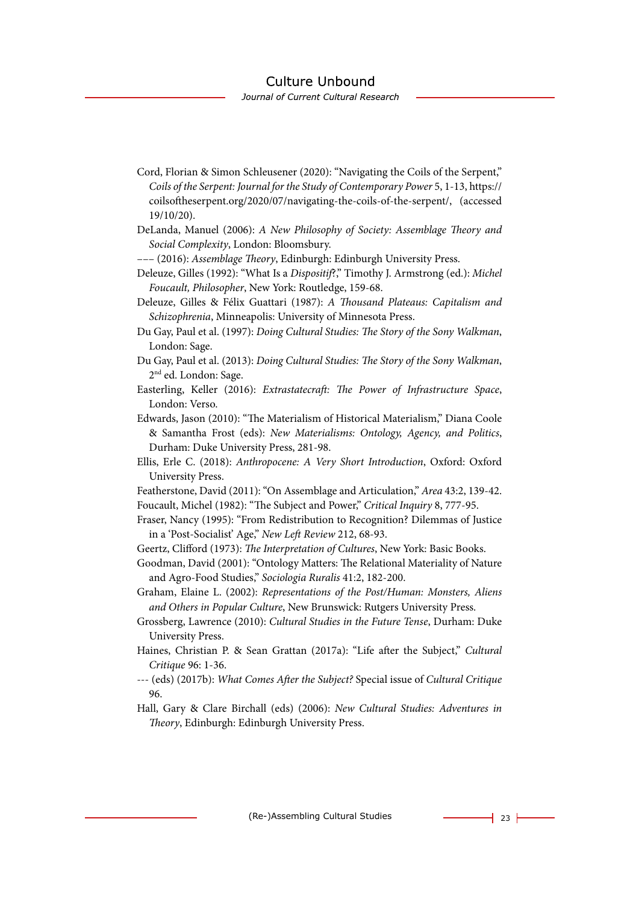Journal of Current Cultural Research

- Cord, Florian & Simon Schleusener (2020): "Navigating the Coils of the Serpent," *Coils of the Serpent: Journal for the Study of Contemporary Power* 5, 1-13, https:// coilsoftheserpent.org/2020/07/navigating-the-coils-of-the-serpent/, (accessed 19/10/20).
- DeLanda, Manuel (2006): *A New Philosophy of Society: Assemblage Theory and Social Complexity*, London: Bloomsbury.
- ––– (2016): *Assemblage Theory*, Edinburgh: Edinburgh University Press.
- Deleuze, Gilles (1992): "What Is a *Dispositif*?," Timothy J. Armstrong (ed.): *Michel Foucault, Philosopher*, New York: Routledge, 159-68.
- Deleuze, Gilles & Félix Guattari (1987): *A Thousand Plateaus: Capitalism and Schizophrenia*, Minneapolis: University of Minnesota Press.
- Du Gay, Paul et al. (1997): *Doing Cultural Studies: The Story of the Sony Walkman*, London: Sage.
- Du Gay, Paul et al. (2013): *Doing Cultural Studies: The Story of the Sony Walkman*, 2<sup>nd</sup> ed. London: Sage.
- Easterling, Keller (2016): *Extrastatecraft: The Power of Infrastructure Space*, London: Verso.
- Edwards, Jason (2010): "The Materialism of Historical Materialism," Diana Coole & Samantha Frost (eds): *New Materialisms: Ontology, Agency, and Politics*, Durham: Duke University Press, 281-98.
- Ellis, Erle C. (2018): *Anthropocene: A Very Short Introduction*, Oxford: Oxford University Press.
- Featherstone, David (2011): "On Assemblage and Articulation," *Area* 43:2, 139-42.
- Foucault, Michel (1982): "The Subject and Power," *Critical Inquiry* 8, 777-95.
- Fraser, Nancy (1995): "From Redistribution to Recognition? Dilemmas of Justice in a 'Post-Socialist' Age," *New Left Review* 212, 68-93.
- Geertz, Clifford (1973): *The Interpretation of Cultures*, New York: Basic Books.
- Goodman, David (2001): "Ontology Matters: The Relational Materiality of Nature and Agro-Food Studies," *Sociologia Ruralis* 41:2, 182-200.
- Graham, Elaine L. (2002): *Representations of the Post/Human: Monsters, Aliens and Others in Popular Culture*, New Brunswick: Rutgers University Press.
- Grossberg, Lawrence (2010): *Cultural Studies in the Future Tense*, Durham: Duke University Press.
- Haines, Christian P. & Sean Grattan (2017a): "Life after the Subject," *Cultural Critique* 96: 1-36.
- --- (eds) (2017b): *What Comes After the Subject?* Special issue of *Cultural Critique* 96.
- Hall, Gary & Clare Birchall (eds) (2006): *New Cultural Studies: Adventures in Theory*, Edinburgh: Edinburgh University Press.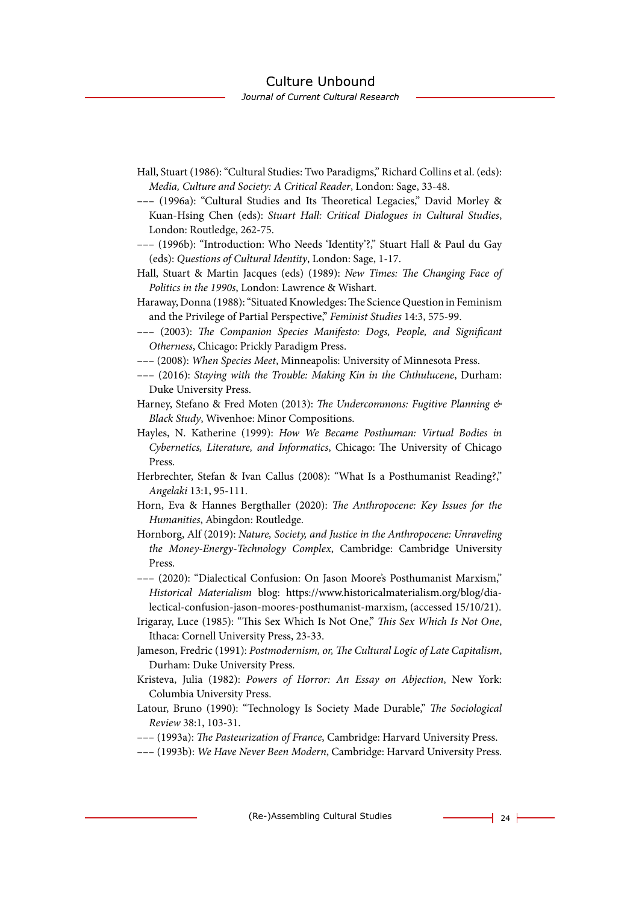- Hall, Stuart (1986): "Cultural Studies: Two Paradigms," Richard Collins et al. (eds): *Media, Culture and Society: A Critical Reader*, London: Sage, 33-48.
- ––– (1996a): "Cultural Studies and Its Theoretical Legacies," David Morley & Kuan-Hsing Chen (eds): *Stuart Hall: Critical Dialogues in Cultural Studies*, London: Routledge, 262-75.
- ––– (1996b): "Introduction: Who Needs 'Identity'?," Stuart Hall & Paul du Gay (eds): *Questions of Cultural Identity*, London: Sage, 1-17.
- Hall, Stuart & Martin Jacques (eds) (1989): *New Times: The Changing Face of Politics in the 1990s*, London: Lawrence & Wishart.
- Haraway, Donna (1988): "Situated Knowledges: The Science Question in Feminism and the Privilege of Partial Perspective," *Feminist Studies* 14:3, 575-99.
- ––– (2003): *The Companion Species Manifesto: Dogs, People, and Significant Otherness*, Chicago: Prickly Paradigm Press.
- ––– (2008): *When Species Meet*, Minneapolis: University of Minnesota Press.
- ––– (2016): *Staying with the Trouble: Making Kin in the Chthulucene*, Durham: Duke University Press.
- Harney, Stefano & Fred Moten (2013): *The Undercommons: Fugitive Planning & Black Study*, Wivenhoe: Minor Compositions.
- Hayles, N. Katherine (1999): *How We Became Posthuman: Virtual Bodies in Cybernetics, Literature, and Informatics*, Chicago: The University of Chicago Press.
- Herbrechter, Stefan & Ivan Callus (2008): "What Is a Posthumanist Reading?," *Angelaki* 13:1, 95-111.
- Horn, Eva & Hannes Bergthaller (2020): *The Anthropocene: Key Issues for the Humanities*, Abingdon: Routledge.
- Hornborg, Alf (2019): *Nature, Society, and Justice in the Anthropocene: Unraveling the Money-Energy-Technology Complex*, Cambridge: Cambridge University Press.

––– (2020): "Dialectical Confusion: On Jason Moore's Posthumanist Marxism," *Historical Materialism* blog: https://www.historicalmaterialism.org/blog/dialectical-confusion-jason-moores-posthumanist-marxism, (accessed 15/10/21).

- Irigaray, Luce (1985): "This Sex Which Is Not One," *This Sex Which Is Not One*, Ithaca: Cornell University Press, 23-33.
- Jameson, Fredric (1991): *Postmodernism, or, The Cultural Logic of Late Capitalism*, Durham: Duke University Press.
- Kristeva, Julia (1982): *Powers of Horror: An Essay on Abjection*, New York: Columbia University Press.
- Latour, Bruno (1990): "Technology Is Society Made Durable," *The Sociological Review* 38:1, 103-31.
- ––– (1993a): *The Pasteurization of France*, Cambridge: Harvard University Press.
- ––– (1993b): *We Have Never Been Modern*, Cambridge: Harvard University Press.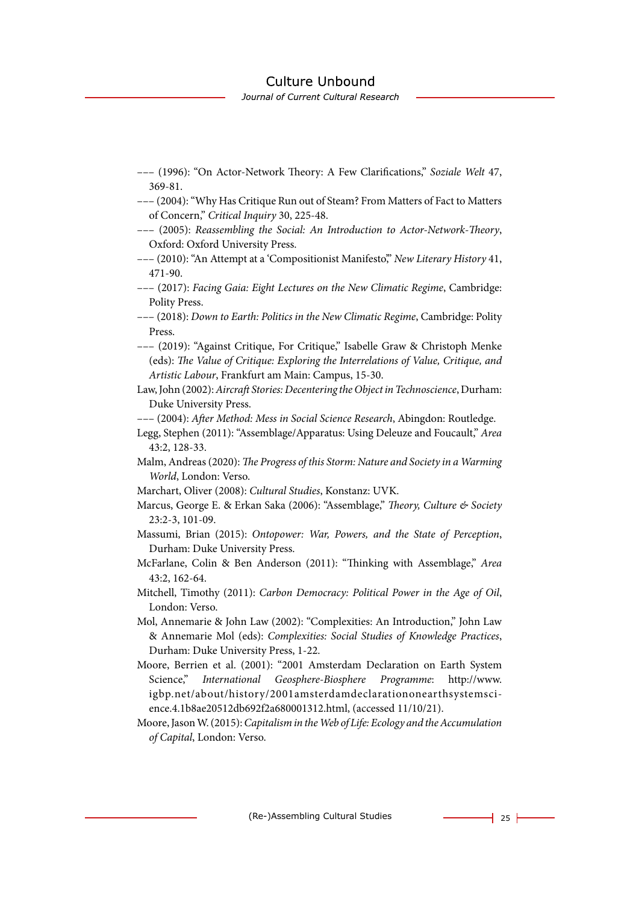Journal of Current Cultural Research

- ––– (1996): "On Actor-Network Theory: A Few Clarifications," *Soziale Welt* 47, 369-81.
- ––– (2004): "Why Has Critique Run out of Steam? From Matters of Fact to Matters of Concern," *Critical Inquiry* 30, 225-48.
- ––– (2005): *Reassembling the Social: An Introduction to Actor-Network-Theory*, Oxford: Oxford University Press.
- ––– (2010): "An Attempt at a 'Compositionist Manifesto'," *New Literary History* 41, 471-90.
- ––– (2017): *Facing Gaia: Eight Lectures on the New Climatic Regime*, Cambridge: Polity Press.
- ––– (2018): *Down to Earth: Politics in the New Climatic Regime*, Cambridge: Polity Press.
- ––– (2019): "Against Critique, For Critique," Isabelle Graw & Christoph Menke (eds): *The Value of Critique: Exploring the Interrelations of Value, Critique, and Artistic Labour*, Frankfurt am Main: Campus, 15-30.
- Law, John (2002): *Aircraft Stories: Decentering the Object in Technoscience*, Durham: Duke University Press.
- ––– (2004): *After Method: Mess in Social Science Research*, Abingdon: Routledge.
- Legg, Stephen (2011): "Assemblage/Apparatus: Using Deleuze and Foucault," *Area* 43:2, 128-33.
- Malm, Andreas (2020): *The Progress of this Storm: Nature and Society in a Warming World*, London: Verso.
- Marchart, Oliver (2008): *Cultural Studies*, Konstanz: UVK.
- Marcus, George E. & Erkan Saka (2006): "Assemblage," *Theory, Culture & Society* 23:2-3, 101-09.
- Massumi, Brian (2015): *Ontopower: War, Powers, and the State of Perception*, Durham: Duke University Press.
- McFarlane, Colin & Ben Anderson (2011): "Thinking with Assemblage," *Area* 43:2, 162-64.
- Mitchell, Timothy (2011): *Carbon Democracy: Political Power in the Age of Oil*, London: Verso.
- Mol, Annemarie & John Law (2002): "Complexities: An Introduction," John Law & Annemarie Mol (eds): *Complexities: Social Studies of Knowledge Practices*, Durham: Duke University Press, 1-22.
- Moore, Berrien et al. (2001): "2001 Amsterdam Declaration on Earth System Science," *International Geosphere-Biosphere Programme*: http://www. igbp.net/about/history/2001amsterdamdeclarationonearthsystemscience.4.1b8ae20512db692f2a680001312.html, (accessed 11/10/21).

Moore, Jason W. (2015): *Capitalism in the Web of Life: Ecology and the Accumulation of Capital*, London: Verso.